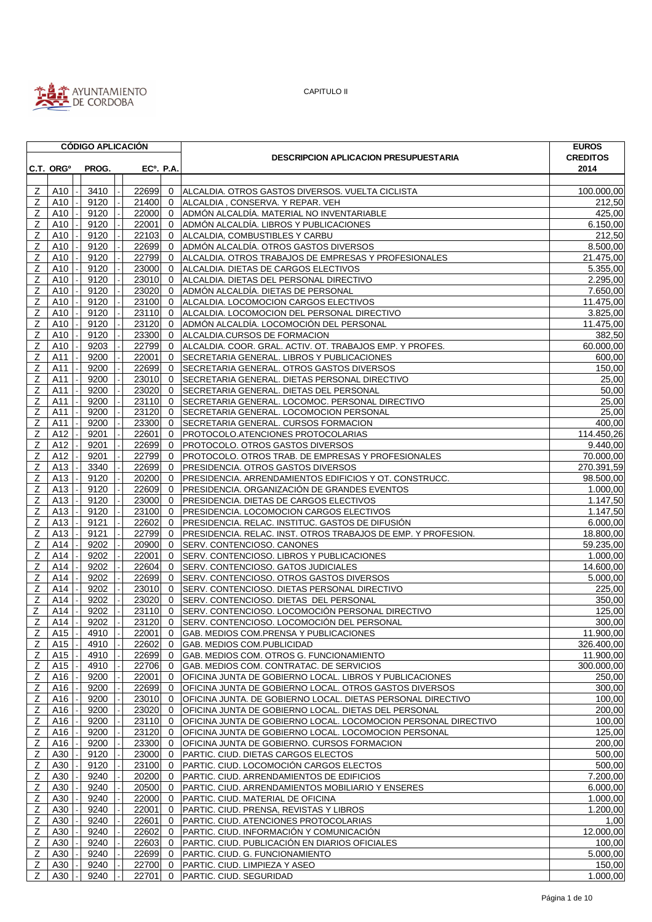

|                |                       | <b>CÓDIGO APLICACIÓN</b> |  |                  |                |                                                                | <b>EUROS</b>          |
|----------------|-----------------------|--------------------------|--|------------------|----------------|----------------------------------------------------------------|-----------------------|
|                |                       |                          |  |                  |                | <b>DESCRIPCION APLICACION PRESUPUESTARIA</b>                   | <b>CREDITOS</b>       |
|                | C.T. ORG <sup>o</sup> | PROG.                    |  | <b>ECº. P.A.</b> |                |                                                                | 2014                  |
|                |                       |                          |  |                  |                |                                                                |                       |
| Z              | A10                   | 3410                     |  | 22699            | $\mathbf{0}$   | ALCALDIA. OTROS GASTOS DIVERSOS. VUELTA CICLISTA               | 100.000,00            |
| $\mathsf Z$    | A10                   | 9120                     |  | 21400            | $\overline{0}$ | ALCALDIA, CONSERVA. Y REPAR. VEH                               | 212,50                |
| Z              | A10                   | 9120                     |  | $22000$ 0        |                | ADMÓN ALCALDÍA. MATERIAL NO INVENTARIABLE                      | $\overline{425,00}$   |
| $\mathsf Z$    | A10                   | 9120                     |  | 22001            | $\mathbf 0$    | ADMÓN ALCALDÍA. LIBROS Y PUBLICACIONES                         | 6.150,00              |
| $\mathsf Z$    | A10                   | 9120                     |  | 22103            | $\mathbf{0}$   | ALCALDIA, COMBUSTIBLES Y CARBU                                 | 212,50                |
| Ζ              | A10                   | 9120                     |  | 22699            | $\mathbf{0}$   | ADMÓN ALCALDÍA. OTROS GASTOS DIVERSOS                          | 8.500,00              |
| $\mathsf Z$    | A10                   | 9120                     |  | 22799 0          |                | ALCALDIA. OTROS TRABAJOS DE EMPRESAS Y PROFESIONALES           | 21.475,00             |
| $\mathsf Z$    | A10                   | 9120                     |  | 23000 0          |                | ALCALDIA. DIETAS DE CARGOS ELECTIVOS                           | 5.355,00              |
| Ζ              | A10                   | 9120                     |  | $23010$ 0        |                | ALCALDIA. DIETAS DEL PERSONAL DIRECTIVO                        | 2.295,00              |
| $\mathsf Z$    | A10                   | 9120                     |  | 23020            | $\overline{0}$ | ADMÓN ALCALDÍA. DIETAS DE PERSONAL                             | 7.650,00              |
| $\overline{z}$ | A10                   | 9120                     |  | 23100 0          |                | ALCALDIA. LOCOMOCION CARGOS ELECTIVOS                          | 11.475,00             |
| Z              | A10                   | 9120                     |  | 23110            | $\overline{0}$ | ALCALDIA. LOCOMOCION DEL PERSONAL DIRECTIVO                    | 3.825,00              |
| Ζ              | A10                   | 9120                     |  | 23120            | $\overline{0}$ | ADMÓN ALCALDÍA. LOCOMOCIÓN DEL PERSONAL                        | 11.475,00             |
| $\overline{z}$ | A10                   | 9120                     |  | 23300 0          |                | ALCALDIA.CURSOS DE FORMACION                                   | 382,50                |
| Ζ              | A10                   | 9203                     |  | 22799            | $\mathbf 0$    | ALCALDIA. COOR. GRAL. ACTIV. OT. TRABAJOS EMP. Y PROFES.       | 60.000,00             |
| Ζ              | A11                   | 9200                     |  | 22001            | $\mathbf{0}$   | SECRETARIA GENERAL. LIBROS Y PUBLICACIONES                     | 600,00                |
| $\mathsf Z$    | A11                   | 9200                     |  | 22699            | $\mathbf{0}$   |                                                                |                       |
|                |                       |                          |  | 23010            |                | SECRETARIA GENERAL. OTROS GASTOS DIVERSOS                      | 150,00                |
| $\mathsf Z$    | A11                   | 9200                     |  |                  | $\overline{0}$ | SECRETARIA GENERAL. DIETAS PERSONAL DIRECTIVO                  | 25,00                 |
| $\overline{z}$ | A11                   | 9200                     |  | 23020 0          |                | SECRETARIA GENERAL. DIETAS DEL PERSONAL                        | 50,00                 |
| $\overline{z}$ | A11                   | 9200                     |  | 23110 0          |                | SECRETARIA GENERAL. LOCOMOC. PERSONAL DIRECTIVO                | 25,00                 |
| Z              | A11                   | 9200                     |  | 23120            | $\mathbf{0}$   | SECRETARIA GENERAL. LOCOMOCION PERSONAL                        | 25,00                 |
| $\mathsf Z$    | A11                   | 9200                     |  | 23300 0          |                | SECRETARIA GENERAL. CURSOS FORMACION                           | 400,00                |
| Z              | A12                   | 9201                     |  | 22601            | $\mathbf{0}$   | PROTOCOLO.ATENCIONES PROTOCOLARIAS                             | 114.450,26            |
| Ζ              | A12                   | 9201                     |  | 22699            | $\mathbf{0}$   | <b>PROTOCOLO. OTROS GASTOS DIVERSOS</b>                        | 9.440,00              |
| $\mathsf Z$    | A12                   | 9201                     |  | 22799            | $\mathbf{0}$   | PROTOCOLO. OTROS TRAB. DE EMPRESAS Y PROFESIONALES             | 70.000,00             |
| Z              | A13                   | 3340                     |  | 22699            | $\overline{0}$ | PRESIDENCIA. OTROS GASTOS DIVERSOS                             | 270.391,59            |
| $\mathsf Z$    | A13                   | 9120                     |  | 20200            | $\mathbf{0}$   | PRESIDENCIA. ARRENDAMIENTOS EDIFICIOS Y OT. CONSTRUCC.         | 98.500,00             |
| Ζ              | A13                   | 9120                     |  | 22609            | $\mathbf{0}$   | PRESIDENCIA. ORGANIZACIÓN DE GRANDES EVENTOS                   | 1.000,00              |
| $\overline{z}$ | A13                   | 9120                     |  | 23000 0          |                | PRESIDENCIA. DIETAS DE CARGOS ELECTIVOS                        | 1.147,50              |
| $\overline{z}$ | A13                   | 9120                     |  | 23100            | $\Omega$       | PRESIDENCIA. LOCOMOCION CARGOS ELECTIVOS                       | 1.147,50              |
| $\mathsf Z$    | A13                   | 9121                     |  | 22602            | $\mathbf{0}$   | PRESIDENCIA. RELAC. INSTITUC. GASTOS DE DIFUSIÓN               | 6.000,00              |
| $\mathsf Z$    | A13                   | 9121                     |  | 22799            | $\overline{0}$ | PRESIDENCIA. RELAC. INST. OTROS TRABAJOS DE EMP. Y PROFESION.  | 18.800,00             |
| Ζ              | A14                   | 9202                     |  | 20900            | $\mathbf{0}$   | SERV. CONTENCIOSO. CANONES                                     | 59.235,00             |
| Ζ              | A14                   | 9202                     |  | 22001            | $\mathbf 0$    | SERV. CONTENCIOSO. LIBROS Y PUBLICACIONES                      | 1.000,00              |
| $\mathsf Z$    | A14                   | 9202                     |  | 22604            | $\mathbf 0$    | SERV. CONTENCIOSO. GATOS JUDICIALES                            | 14.600,00             |
| $\overline{z}$ | A14                   | 9202                     |  | 22699            | $\mathbf{0}$   | SERV. CONTENCIOSO. OTROS GASTOS DIVERSOS                       | 5.000,00              |
| Ζ              | A14                   | 9202                     |  | 23010            | $\mathbf 0$    | SERV. CONTENCIOSO. DIETAS PERSONAL DIRECTIVO                   | 225,00                |
| Z              | A14                   | 9202                     |  | 23020            | $\overline{0}$ | SERV. CONTENCIOSO. DIETAS DEL PERSONAL                         | 350,00                |
| $\overline{z}$ | A14                   | 9202                     |  | 23110 0          |                | SERV. CONTENCIOSO. LOCOMOCIÓN PERSONAL DIRECTIVO               | 125,00                |
| $\overline{z}$ | A14                   | 9202                     |  | 23120 0          |                | SERV. CONTENCIOSO. LOCOMOCIÓN DEL PERSONAL                     | 300,00                |
|                | $Z$ A15 -             | 4910 -                   |  |                  |                | 22001 0 GAB. MEDIOS COM. PRENSA Y PUBLICACIONES                | 11.900,00             |
| Z              | A15                   | 4910                     |  | 22602 0          |                | <b>GAB. MEDIOS COM.PUBLICIDAD</b>                              | 326.400,00            |
| $\overline{z}$ | A15                   | 4910                     |  | 22699            | $\mathbf 0$    | GAB. MEDIOS COM. OTROS G. FUNCIONAMIENTO                       | 11.900.00             |
| z              | A15                   | 4910                     |  | 22706            | $\mathbf 0$    | GAB. MEDIOS COM. CONTRATAC. DE SERVICIOS                       | 300.000,00            |
| Z              | A16                   | 9200                     |  | 22001            | $\mathbf{0}$   | OFICINA JUNTA DE GOBIERNO LOCAL. LIBROS Y PUBLICACIONES        | 250,00                |
| Z              | A16                   | 9200                     |  | 22699            | 0              | OFICINA JUNTA DE GOBIERNO LOCAL. OTROS GASTOS DIVERSOS         | 300,00                |
| $\mathsf Z$    | A16                   | 9200                     |  | 23010            | $\mathbf 0$    | OFICINA JUNTA. DE GOBIERNO LOCAL. DIETAS PERSONAL DIRECTIVO    | 100,00                |
| $\mathsf Z$    | A16                   | 9200                     |  | 23020            | $\overline{0}$ | OFICINA JUNTA DE GOBIERNO LOCAL. DIETAS DEL PERSONAL           | 200,00                |
| $\mathsf{Z}$   | A16                   | 9200                     |  | 23110            | $\mathbf{0}$   | OFICINA JUNTA DE GOBIERNO LOCAL. LOCOMOCION PERSONAL DIRECTIVO | 100,00                |
| $\mathsf{Z}$   | A16                   | 9200                     |  | 23120 0          |                | OFICINA JUNTA DE GOBIERNO LOCAL. LOCOMOCION PERSONAL           | 125,00                |
| $\mathsf Z$    | A16                   | 9200                     |  | 23300            | $\overline{0}$ | OFICINA JUNTA DE GOBIERNO. CURSOS FORMACION                    | 200,00                |
| $\mathsf{Z}$   | A30                   | 9120                     |  | 23000            | $\mathbf{0}$   | PARTIC. CIUD. DIETAS CARGOS ELECTOS                            | 500,00                |
| Z              | A30                   | 9120                     |  | 23100            | 0              | PARTIC. CIUD. LOCOMOCIÓN CARGOS ELECTOS                        | 500,00                |
| $\mathsf Z$    | A30                   | 9240                     |  | 20200 0          |                | PARTIC. CIUD. ARRENDAMIENTOS DE EDIFICIOS                      | $\overline{7.200,00}$ |
| Z              | A30                   | 9240                     |  | 20500            | $\mathbf 0$    | PARTIC. CIUD. ARRENDAMIENTOS MOBILIARIO Y ENSERES              | 6.000,00              |
| Z              | A30                   | 9240                     |  | 22000            | $\mathbf{0}$   | PARTIC. CIUD. MATERIAL DE OFICINA                              | 1.000,00              |
| $\overline{z}$ | A30                   | 9240                     |  | 22001            | $\mathbf{0}$   | PARTIC. CIUD. PRENSA, REVISTAS Y LIBROS                        | 1.200,00              |
| $\overline{Z}$ | A30                   | 9240                     |  | 22601            | $\mathbf 0$    | PARTIC. CIUD. ATENCIONES PROTOCOLARIAS                         | 1,00                  |
|                |                       |                          |  |                  |                |                                                                |                       |
| Ζ              | A30                   | 9240                     |  | 22602            | $\mathbf{0}$   | PARTIC. CIUD. INFORMACIÓN Y COMUNICACIÓN                       | 12.000,00             |
| Ζ              | A30                   | 9240                     |  | 22603            | $\mathbf{0}$   | PARTIC. CIUD. PUBLICACIÓN EN DIARIOS OFICIALES                 | 100,00                |
| $\mathsf Z$    | A30                   | 9240                     |  | 22699            | $\mathbf{0}$   | PARTIC. CIUD. G. FUNCIONAMIENTO                                | 5.000,00              |
| $\overline{z}$ | A30                   | 9240                     |  | 22700            | $\mathbf 0$    | PARTIC. CIUD. LIMPIEZA Y ASEO                                  | 150,00                |
| Z              | A30                   | 9240                     |  | 22701            | $\mathbf{0}$   | PARTIC. CIUD. SEGURIDAD                                        | 1.000,00              |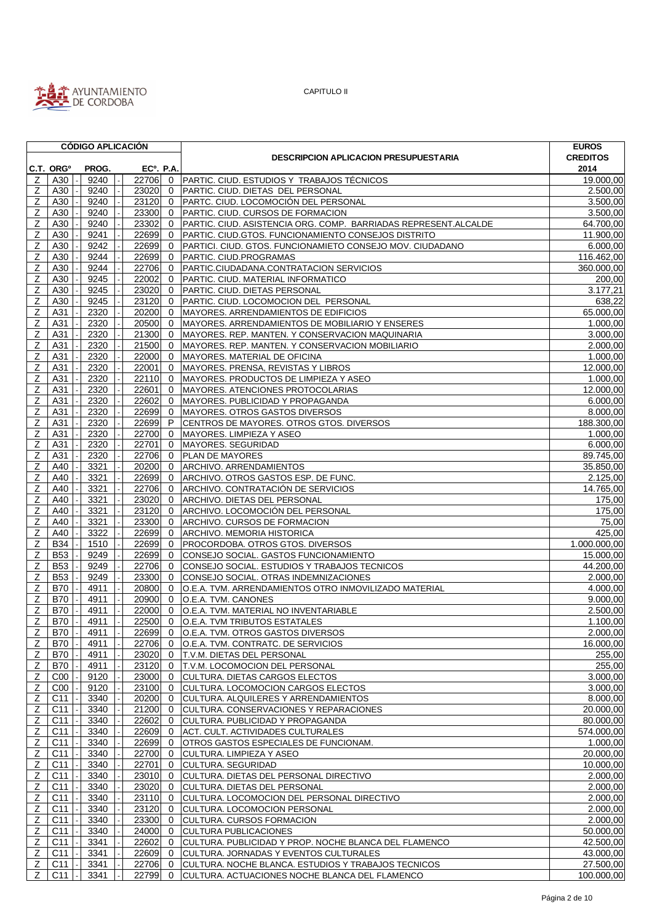

|                |                       | <b>CÓDIGO APLICACIÓN</b> |       |                        |                                                                 | <b>EUROS</b>    |
|----------------|-----------------------|--------------------------|-------|------------------------|-----------------------------------------------------------------|-----------------|
|                |                       |                          |       |                        | <b>DESCRIPCION APLICACION PRESUPUESTARIA</b>                    | <b>CREDITOS</b> |
|                | C.T. ORG <sup>o</sup> | PROG.                    |       | EC <sup>o</sup> . P.A. |                                                                 | 2014            |
| Z              | A30                   | 9240                     | 22706 |                        | 0 PARTIC. CIUD. ESTUDIOS Y TRABAJOS TÉCNICOS                    | 19.000,00       |
| Ζ              | A30                   | 9240                     | 23020 | $\mathbf{0}$           | PARTIC. CIUD. DIETAS DEL PERSONAL                               | 2.500,00        |
| Ζ              | A30                   | 9240                     | 23120 |                        | 0   PARTC. CIUD. LOCOMOCIÓN DEL PERSONAL                        | 3.500,00        |
| Ζ              | A30                   | 9240                     | 23300 | $\overline{0}$         | PARTIC. CIUD. CURSOS DE FORMACION                               | 3.500,00        |
| Z              | A30                   | 9240                     | 23302 | $\mathbf{0}$           | PARTIC. CIUD. ASISTENCIA ORG. COMP. BARRIADAS REPRESENT.ALCALDE | 64.700,00       |
| Z              | A30                   | 9241                     | 22699 | $\mathbf{0}$           | PARTIC. CIUD.GTOS. FUNCIONAMIENTO CONSEJOS DISTRITO             | 11.900,00       |
| Z              | A30                   | 9242                     | 22699 | $\mathbf{0}$           | PARTICI. CIUD. GTOS. FUNCIONAMIETO CONSEJO MOV. CIUDADANO       | 6.000,00        |
| Ζ              | A30                   | 9244                     | 22699 | $\mathbf{0}$           | PARTIC. CIUD.PROGRAMAS                                          | 116.462,00      |
| Ζ              | A30                   | 9244                     | 22706 | $\mathbf{0}$           | PARTIC.CIUDADANA.CONTRATACION SERVICIOS                         | 360.000,00      |
| Ζ              | A30                   | 9245                     | 22002 | $\mathbf{0}$           | PARTIC. CIUD. MATERIAL INFORMATICO                              | 200.00          |
| Z              | A30                   | 9245                     | 23020 | $\mathbf{0}$           | PARTIC. CIUD. DIETAS PERSONAL                                   | 3.177,21        |
| Z              | A30                   | 9245                     | 23120 | $\mathbf{0}$           | PARTIC. CIUD. LOCOMOCION DEL PERSONAL                           | 638,22          |
| Ζ              | A31                   | 2320                     | 20200 |                        | 0  MAYORES. ARRENDAMIENTOS DE EDIFICIOS                         | 65.000,00       |
| Ζ              | A31                   | 2320                     | 20500 | $\Omega$               | MAYORES. ARRENDAMIENTOS DE MOBILIARIO Y ENSERES                 | 1.000,00        |
| Ζ              | A31                   | 2320                     | 21300 | $\mathbf 0$            | MAYORES. REP. MANTEN. Y CONSERVACION MAQUINARIA                 | 3.000,00        |
| Z              | A31                   | 2320                     | 21500 | $\mathbf{0}$           | MAYORES. REP. MANTEN. Y CONSERVACION MOBILIARIO                 | 2.000,00        |
| Z              | A31                   | 2320                     | 22000 | $\mathbf{0}$           | MAYORES. MATERIAL DE OFICINA                                    | 1.000,00        |
| Z              | A31                   | 2320                     | 22001 | $\mathbf{0}$           | MAYORES. PRENSA, REVISTAS Y LIBROS                              | 12.000,00       |
| Ζ              | A31                   | 2320                     | 22110 | $\mathbf{0}$           | MAYORES. PRODUCTOS DE LIMPIEZA Y ASEO                           | 1.000.00        |
| Ζ              | A31                   | 2320                     | 22601 | $\Omega$               | MAYORES. ATENCIONES PROTOCOLARIAS                               | 12.000,00       |
| z              | A31                   | 2320                     | 22602 | $\mathbf{0}$           | MAYORES. PUBLICIDAD Y PROPAGANDA                                | 6.000,00        |
| Ζ              | A31                   | 2320                     | 22699 | $\mathbf{0}$           | MAYORES. OTROS GASTOS DIVERSOS                                  | 8.000,00        |
| Z              | A31                   | 2320                     | 22699 | P                      | CENTROS DE MAYORES. OTROS GTOS. DIVERSOS                        |                 |
|                |                       |                          |       |                        |                                                                 | 188.300,00      |
| Ζ              | A31                   | 2320                     | 22700 | $\mathbf{0}$           | MAYORES. LIMPIEZA Y ASEO                                        | 1.000,00        |
| Ζ              | A31                   | 2320                     | 22701 | $\mathbf{0}$           | MAYORES. SEGURIDAD                                              | 6.000,00        |
| Ζ              | A31                   | 2320                     | 22706 | $\mathbf{0}$           | <b>PLAN DE MAYORES</b>                                          | 89.745,00       |
| Ζ              | A40                   | 3321                     | 20200 | $\mathbf{0}$           | ARCHIVO. ARRENDAMIENTOS                                         | 35.850,00       |
| Z              | A40                   | 3321                     | 22699 | $\mathbf{0}$           | ARCHIVO. OTROS GASTOS ESP. DE FUNC.                             | 2.125,00        |
| Ζ              | A40                   | 3321                     | 22706 |                        | 0 ARCHIVO. CONTRATACIÓN DE SERVICIOS                            | 14.765,00       |
| Ζ              | A40                   | 3321                     | 23020 | $\Omega$               | ARCHIVO. DIETAS DEL PERSONAL                                    | 175,00          |
| Z              | A40                   | 3321                     | 23120 | $\mathbf{0}$           | ARCHIVO. LOCOMOCIÓN DEL PERSONAL                                | 175,00          |
| Z              | A40                   | 3321                     | 23300 |                        | 0 ARCHIVO. CURSOS DE FORMACION                                  | 75,00           |
| Z              | A40                   | 3322                     | 22699 | $\Omega$               | ARCHIVO. MEMORIA HISTORICA                                      | 425,00          |
| Z              | <b>B34</b>            | 1510                     | 22699 | $\mathbf{0}$           | PROCORDOBA. OTROS GTOS. DIVERSOS                                | 1.000.000,00    |
| Ζ              | <b>B53</b>            | 9249                     | 22699 | $\mathbf{0}$           | CONSEJO SOCIAL. GASTOS FUNCIONAMIENTO                           | 15.000,00       |
| Z              | <b>B53</b>            | 9249                     | 22706 | $\mathbf{0}$           | CONSEJO SOCIAL. ESTUDIOS Y TRABAJOS TECNICOS                    | 44.200,00       |
| Ζ              | <b>B53</b>            | 9249                     | 23300 | $\mathbf{0}$           | CONSEJO SOCIAL. OTRAS INDEMNIZACIONES                           | 2.000,00        |
| Z              | <b>B70</b>            | 4911                     | 20800 | $\mathbf{0}$           | O.E.A. TVM. ARRENDAMIENTOS OTRO INMOVILIZADO MATERIAL           | 4.000,00        |
| Z              | <b>B70</b>            | 4911                     | 20900 | $\Omega$               | O.E.A. TVM. CANONES                                             | 9.000,00        |
| Ζ              | B70                   | 4911                     | 22000 | $\mathbf{0}$           | O.E.A. TVM. MATERIAL NO INVENTARIABLE                           | 2.500,00        |
| Ζ              | <b>B70</b>            | 4911                     | 22500 |                        | 0 O.E.A. TVM TRIBUTOS ESTATALES                                 | 1.100.00        |
| $\overline{z}$ | B70   -               | 4911                     | 22699 |                        | 0 O.E.A. TVM. OTROS GASTOS DIVERSOS                             | 2.000,00        |
| $\mathsf Z$    | B70                   | 4911                     | 22706 |                        | 0 O.E.A. TVM. CONTRATC. DE SERVICIOS                            | 16.000,00       |
|                |                       |                          |       |                        |                                                                 |                 |
| Ζ              | B70                   | 4911                     | 23020 | $\mathbf 0$            | T.V.M. DIETAS DEL PERSONAL                                      | 255,00          |
| Z              | <b>B70</b>            | 4911                     | 23120 | $\mathbf{0}$           | T.V.M. LOCOMOCION DEL PERSONAL                                  | 255,00          |
| Z              | C <sub>00</sub>       | 9120                     | 23000 | $\mathbf 0$            | <b>CULTURA. DIETAS CARGOS ELECTOS</b>                           | 3.000,00        |
| Z              | C <sub>00</sub>       | 9120                     | 23100 | $\mathbf 0$            | CULTURA. LOCOMOCION CARGOS ELECTOS                              | 3.000,00        |
| Ζ              | C11                   | 3340                     | 20200 | $\mathbf{0}$           | CULTURA. ALQUILERES Y ARRENDAMIENTOS                            | 8.000,00        |
| Ζ              | C11                   | 3340                     | 21200 | $\mathbf{0}$           | CULTURA. CONSERVACIONES Y REPARACIONES                          | 20.000,00       |
| Z              | C11                   | 3340                     | 22602 | 0                      | CULTURA. PUBLICIDAD Y PROPAGANDA                                | 80.000,00       |
| Z              | C11                   | 3340                     | 22609 | $\mathbf 0$            | ACT. CULT. ACTIVIDADES CULTURALES                               | 574.000,00      |
| Ζ              | C11                   | 3340                     | 22699 | $\mathbf{0}$           | OTROS GASTOS ESPECIALES DE FUNCIONAM.                           | 1.000,00        |
| Ζ              | C11                   | 3340                     | 22700 | $\mathbf 0$            | CULTURA. LIMPIEZA Y ASEO                                        | 20.000,00       |
| Z              | C11                   | 3340                     | 22701 | $\overline{0}$         | CULTURA. SEGURIDAD                                              | 10.000,00       |
| Ζ              | C11                   | 3340                     | 23010 | $\mathbf 0$            | CULTURA. DIETAS DEL PERSONAL DIRECTIVO                          | 2.000,00        |
| Ζ              | C11                   | 3340                     | 23020 | $\mathbf 0$            | CULTURA. DIETAS DEL PERSONAL                                    | 2.000,00        |
| Ζ              | C11                   | 3340                     | 23110 | $\mathbf 0$            | CULTURA. LOCOMOCION DEL PERSONAL DIRECTIVO                      | 2.000,00        |
| Z              | C11                   | 3340                     | 23120 | $\mathbf 0$            | CULTURA. LOCOMOCION PERSONAL                                    | 2.000,00        |
| Z              | C11                   | 3340                     | 23300 | $\mathbf 0$            | <b>CULTURA. CURSOS FORMACION</b>                                | 2.000,00        |
| Z              | C11                   | 3340                     | 24000 | $\mathbf 0$            | <b>CULTURA PUBLICACIONES</b>                                    | 50.000,00       |
| $\mathsf{Z}$   | C11                   | 3341                     | 22602 | $\mathbf{0}$           | CULTURA. PUBLICIDAD Y PROP. NOCHE BLANCA DEL FLAMENCO           | 42.500,00       |
| Z              | C11                   | 3341                     | 22609 | $\mathbf 0$            | CULTURA. JORNADAS Y EVENTOS CULTURALES                          | 43.000,00       |
| Z              | C11                   | 3341                     | 22706 | $\mathbf 0$            | CULTURA. NOCHE BLANCA. ESTUDIOS Y TRABAJOS TECNICOS             | 27.500,00       |
| Z              | C11<br>$\blacksquare$ | 3341                     | 22799 | $\mathbf 0$            | CULTURA. ACTUACIONES NOCHE BLANCA DEL FLAMENCO                  | 100.000,00      |
|                |                       |                          |       |                        |                                                                 |                 |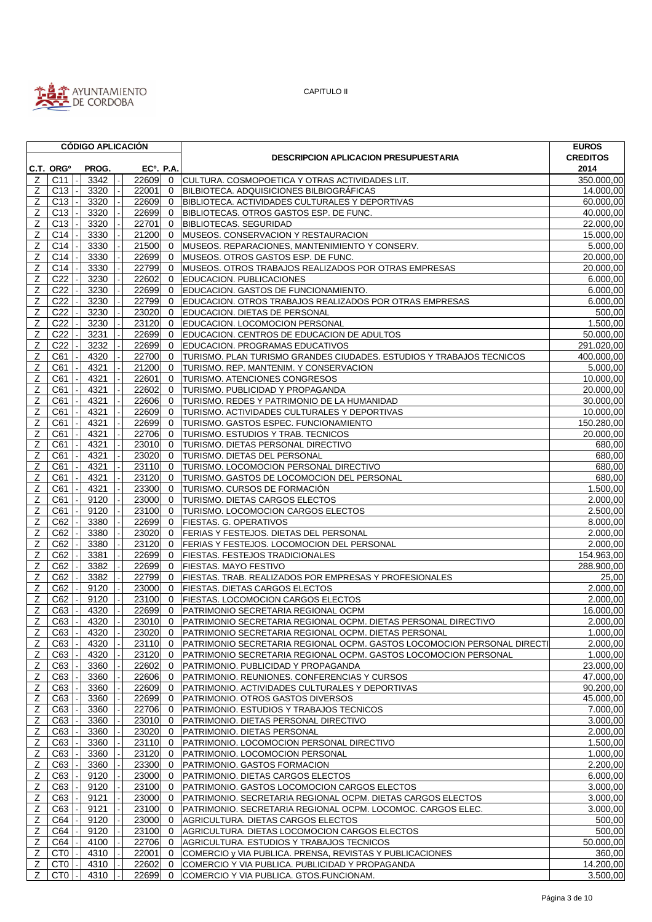

|                |                       | <b>CÓDIGO APLICACIÓN</b> |                  |                |                                                                         | <b>EUROS</b>    |
|----------------|-----------------------|--------------------------|------------------|----------------|-------------------------------------------------------------------------|-----------------|
|                |                       |                          |                  |                | <b>DESCRIPCION APLICACION PRESUPUESTARIA</b>                            | <b>CREDITOS</b> |
|                | C.T. ORG <sup>o</sup> | PROG.                    | <b>ECº. P.A.</b> |                |                                                                         | 2014            |
| Z              | C <sub>11</sub>       | 3342                     | 22609 0          |                | CULTURA. COSMOPOETICA Y OTRAS ACTIVIDADES LIT.                          | 350.000,00      |
| Ζ              | C13                   | 3320                     | 22001            | $\mathbf 0$    | BILBIOTECA. ADQUISICIONES BILBIOGRÁFICAS                                | 14.000,00       |
| Ζ              | C13                   | 3320                     | 22609            | $\Omega$       | BIBLIOTECA. ACTIVIDADES CULTURALES Y DEPORTIVAS                         | 60.000,00       |
| z              | C <sub>13</sub>       | 3320                     | 22699            | $\mathbf{0}$   | BIBLIOTECAS. OTROS GASTOS ESP. DE FUNC.                                 | 40.000,00       |
| Z              | C <sub>13</sub>       | 3320                     | 22701            | $\mathbf 0$    | <b>BIBLIOTECAS. SEGURIDAD</b>                                           | 22.000,00       |
| Z              | C14                   | 3330                     | 21200            | $\mathbf 0$    | MUSEOS. CONSERVACION Y RESTAURACION                                     | 15.000,00       |
| Ζ              | C14                   | 3330                     | 21500            | 0              | MUSEOS. REPARACIONES, MANTENIMIENTO Y CONSERV.                          | 5.000,00        |
| Z              | C14                   | 3330                     | 22699            | $\mathbf{0}$   | MUSEOS. OTROS GASTOS ESP. DE FUNC.                                      | 20.000,00       |
|                |                       |                          |                  |                |                                                                         |                 |
| Ζ              | C14                   | 3330                     | 22799            | $\mathbf 0$    | MUSEOS. OTROS TRABAJOS REALIZADOS POR OTRAS EMPRESAS                    | 20.000,00       |
| z              | $\overline{C}22$      | 3230                     | 22602            | $\mathbf 0$    | <b>EDUCACION. PUBLICACIONES</b>                                         | 6.000,00        |
| Z              | C <sub>22</sub>       | 3230                     | 22699            | $\mathbf 0$    | EDUCACION. GASTOS DE FUNCIONAMIENTO.                                    | 6.000,00        |
| Z              | C <sub>22</sub>       | 3230                     | 22799            | $\mathbf{0}$   | EDUCACION. OTROS TRABAJOS REALIZADOS POR OTRAS EMPRESAS                 | 6.000,00        |
| Z              | C <sub>22</sub>       | 3230                     | 23020            | $\mathbf 0$    | EDUCACION. DIETAS DE PERSONAL                                           | 500,00          |
| Z              | C <sub>22</sub>       | 3230                     | 23120            | $\mathbf{0}$   | EDUCACION. LOCOMOCION PERSONAL                                          | 1.500,00        |
| Z              | C <sub>22</sub>       | 3231                     | 22699            | $\mathbf{0}$   | EDUCACION. CENTROS DE EDUCACION DE ADULTOS                              | 50.000,00       |
| Z              | C <sub>22</sub>       | 3232                     | 22699            | $\mathbf{0}$   | EDUCACION. PROGRAMAS EDUCATIVOS                                         | 291.020,00      |
| Ζ              | C61                   | 4320                     | 22700            | $\mathbf{0}$   | TURISMO. PLAN TURISMO GRANDES CIUDADES. ESTUDIOS Y TRABAJOS TECNICOS    | 400.000,00      |
| Z              | C61                   | 4321                     | 21200            | $\mathbf{0}$   | TURISMO. REP. MANTENIM. Y CONSERVACION                                  | 5.000,00        |
| Z              | C61                   | 4321                     | 22601            | $\mathbf{0}$   | <b>TURISMO. ATENCIONES CONGRESOS</b>                                    | 10.000,00       |
| Ζ              | C61                   | 4321                     | 22602            | $\mathbf 0$    | TURISMO. PUBLICIDAD Y PROPAGANDA                                        | 20.000,00       |
| Z              | C61                   | 4321                     | 22606            | $\mathbf{0}$   | TURISMO. REDES Y PATRIMONIO DE LA HUMANIDAD                             | 30.000,00       |
| Z              | C61                   | 4321                     | 22609            | $\mathbf{0}$   | TURISMO. ACTIVIDADES CULTURALES Y DEPORTIVAS                            | 10.000,00       |
| Z              | C61                   | 4321                     | 22699            | $\mathbf{0}$   | TURISMO. GASTOS ESPEC. FUNCIONAMIENTO                                   | 150.280,00      |
| Z              | C61                   | 4321                     | 22706            | $\mathbf{0}$   | TURISMO. ESTUDIOS Y TRAB. TECNICOS                                      | 20.000,00       |
|                |                       |                          |                  |                |                                                                         |                 |
| Ζ              | C61                   | 4321                     | 23010            | $\mathbf{0}$   | TURISMO. DIETAS PERSONAL DIRECTIVO                                      | 680,00          |
| z              | C61                   | 4321                     | 23020            | $\mathbf 0$    | TURISMO. DIETAS DEL PERSONAL                                            | 680,00          |
| Z              | C61                   | 4321                     | 23110            | $\overline{0}$ | TURISMO. LOCOMOCION PERSONAL DIRECTIVO                                  | 680,00          |
| Ζ              | C61                   | 4321                     | 23120            | $\Omega$       | TURISMO. GASTOS DE LOCOMOCION DEL PERSONAL                              | 680,00          |
| Ζ              | C61                   | 4321                     | 23300            | $\mathbf{0}$   | TURISMO. CURSOS DE FORMACIÓN                                            | 1.500,00        |
| Z              | C61                   | 9120                     | 23000            | $\mathbf 0$    | TURISMO. DIETAS CARGOS ELECTOS                                          | 2.000,00        |
| Ζ              | C61                   | 9120                     | 23100            | $\mathbf{0}$   | <b>TURISMO. LOCOMOCION CARGOS ELECTOS</b>                               | 2.500,00        |
| Ζ              | C62                   | 3380                     | 22699            | $\mathbf{0}$   | <b>FIESTAS. G. OPERATIVOS</b>                                           | 8.000,00        |
| Z              | C62                   | 3380                     | 23020            | $\mathbf{0}$   | <b>FERIAS Y FESTEJOS. DIETAS DEL PERSONAL</b>                           | 2.000,00        |
| Z              | C62                   | 3380                     | 23120            | $\mathbf{0}$   | FERIAS Y FESTEJOS. LOCOMOCION DEL PERSONAL                              | 2.000,00        |
| z              | C62                   | 3381                     | 22699            | 0              | <b>FIESTAS. FESTEJOS TRADICIONALES</b>                                  | 154.963,00      |
| Z              | C62                   | 3382                     | 22699            | $\mathbf{0}$   | FIESTAS. MAYO FESTIVO                                                   | 288.900,00      |
| Z              | C62                   | 3382                     | 22799            | $\mathbf{0}$   | FIESTAS. TRAB. REALIZADOS POR EMPRESAS Y PROFESIONALES                  | 25,00           |
| z              | C62                   | 9120                     | 23000            | $\mathbf 0$    | <b>FIESTAS. DIETAS CARGOS ELECTOS</b>                                   | 2.000,00        |
| Ζ              | C62                   | 9120                     | 23100            | $\mathbf{0}$   | FIESTAS. LOCOMOCION CARGOS ELECTOS                                      | 2.000,00        |
| Ζ              | C63                   | 4320                     | 22699            | $\mathbf{0}$   | PATRIMONIO SECRETARIA REGIONAL OCPM                                     | 16.000,00       |
| $\overline{z}$ | C63                   | 4320                     | 23010            | $\overline{0}$ | PATRIMONIO SECRETARIA REGIONAL OCPM. DIETAS PERSONAL DIRECTIVO          | 2.000,00        |
|                | Z C63                 | 4320                     |                  |                | 23020 0 PATRIMONIO SECRETARIA REGIONAL OCPM. DIETAS PERSONAL            | 1.000,00        |
| Z              |                       |                          | 23110 0          |                | PATRIMONIO SECRETARIA REGIONAL OCPM. GASTOS LOCOMOCION PERSONAL DIRECTI |                 |
|                | C63                   | 4320                     |                  |                |                                                                         | 2.000,00        |
| z              | C63                   | 4320                     | 23120            | 0              | PATRIMONIO SECRETARIA REGIONAL OCPM. GASTOS LOCOMOCION PERSONAL         | 1.000,00        |
| Z              | C63                   | 3360                     | 22602            | $\mathbf 0$    | PATRIMONIO. PUBLICIDAD Y PROPAGANDA                                     | 23.000,00       |
| Z              | C63                   | 3360                     | 22606            | $\mathbf{0}$   | PATRIMONIO. REUNIONES. CONFERENCIAS Y CURSOS                            | 47.000,00       |
| Z              | C63                   | 3360                     | 22609            | $\mathbf{0}$   | PATRIMONIO. ACTIVIDADES CULTURALES Y DEPORTIVAS                         | 90.200,00       |
| Ζ              | C63                   | 3360                     | 22699            | $\mathbf 0$    | PATRIMONIO. OTROS GASTOS DIVERSOS                                       | 45.000,00       |
| $\mathsf{Z}$   | C63                   | 3360                     | 22706            | $\mathbf 0$    | PATRIMONIO. ESTUDIOS Y TRABAJOS TECNICOS                                | 7.000,00        |
| $\overline{z}$ | C63                   | 3360                     | 23010            | $\mathbf{0}$   | PATRIMONIO. DIETAS PERSONAL DIRECTIVO                                   | 3.000,00        |
| z              | C63                   | 3360                     | 23020            | $\mathbf 0$    | PATRIMONIO. DIETAS PERSONAL                                             | 2.000,00        |
| $\mathsf Z$    | C63                   | 3360                     | 23110 0          |                | PATRIMONIO. LOCOMOCION PERSONAL DIRECTIVO                               | 1.500,00        |
| Ζ              | C63                   | 3360                     | 23120            | $\mathbf 0$    | PATRIMONIO. LOCOMOCION PERSONAL                                         | 1.000,00        |
| z              | C63                   | 3360                     | 23300            | $\mathbf{0}$   | PATRIMONIO. GASTOS FORMACION                                            | 2.200,00        |
| $\mathsf{Z}$   | C63                   | 9120                     | 23000            | $\overline{0}$ | PATRIMONIO. DIETAS CARGOS ELECTOS                                       | 6.000,00        |
| $\mathsf Z$    | C63                   | 9120                     | 23100 0          |                | PATRIMONIO. GASTOS LOCOMOCION CARGOS ELECTOS                            | 3.000,00        |
| Z              | C63                   | 9121                     | 23000            | $\mathbf 0$    | PATRIMONIO. SECRETARIA REGIONAL OCPM. DIETAS CARGOS ELECTOS             | 3.000,00        |
| Z              | C63                   | 9121                     | 23100            | $\mathbf{0}$   | PATRIMONIO. SECRETARIA REGIONAL OCPM. LOCOMOC. CARGOS ELEC.             | 3.000,00        |
| $\mathsf{Z}$   | C64                   | 9120                     | 23000            | $\mathbf{0}$   | AGRICULTURA. DIETAS CARGOS ELECTOS                                      | 500,00          |
| $\overline{z}$ | C64                   | 9120                     | 23100            | $\mathbf{0}$   | AGRICULTURA. DIETAS LOCOMOCION CARGOS ELECTOS                           | 500,00          |
| Ζ              | C64                   | 4100                     | 22706            | $\mathbf{0}$   | AGRICULTURA. ESTUDIOS Y TRABAJOS TECNICOS                               | 50.000,00       |
| $\mathsf Z$    | CT <sub>0</sub>       | 4310                     | 22001            | $\mathbf{0}$   | COMERCIO y VIA PUBLICA. PRENSA, REVISTAS Y PUBLICACIONES                | 360,00          |
| $\mathbb{Z}$   | CT <sub>0</sub>       | 4310                     | 22602            | $\mathbf{0}$   | COMERCIO Y VIA PUBLICA. PUBLICIDAD Y PROPAGANDA                         | 14.200,00       |
| Z              | CT <sub>0</sub>       | 4310                     | 22699            | $\overline{0}$ | COMERCIO Y VIA PUBLICA. GTOS.FUNCIONAM.                                 | 3.500,00        |
|                |                       |                          |                  |                |                                                                         |                 |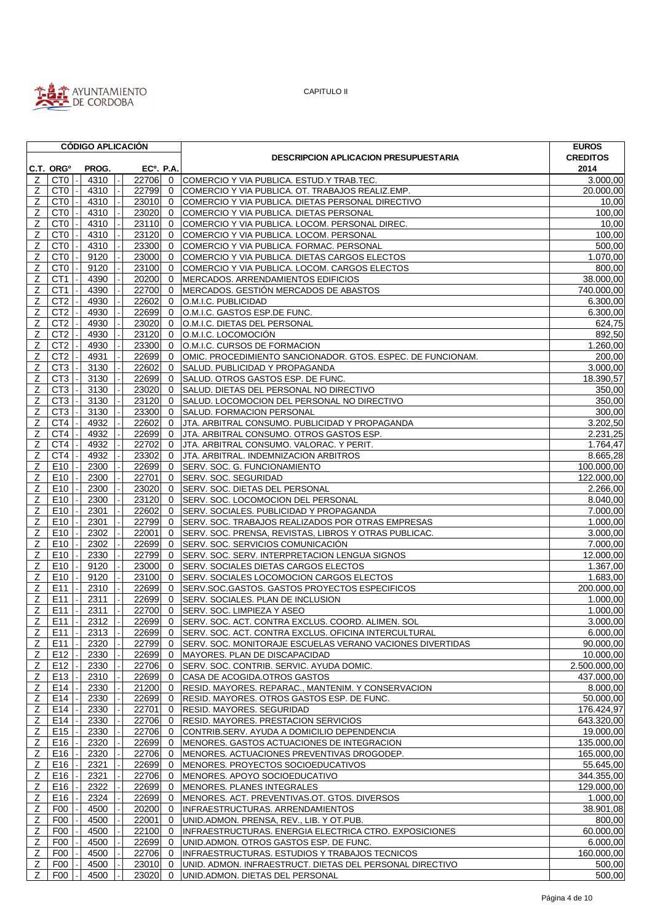

|                |                       |  |       |  | <b>CÓDIGO APLICACIÓN</b> |                             |                                                                   | <b>EUROS</b>          |
|----------------|-----------------------|--|-------|--|--------------------------|-----------------------------|-------------------------------------------------------------------|-----------------------|
|                |                       |  |       |  |                          |                             | <b>DESCRIPCION APLICACION PRESUPUESTARIA</b>                      | <b>CREDITOS</b>       |
|                | C.T. ORG <sup>o</sup> |  | PROG. |  | <b>ECº. P.A.</b>         |                             |                                                                   | 2014                  |
| z              | CT <sub>0</sub>       |  | 4310  |  | 22706 0                  |                             | COMERCIO Y VIA PUBLICA. ESTUD.Y TRAB.TEC.                         | 3.000,00              |
| Z              | CT <sub>0</sub>       |  | 4310  |  | 22799                    | $\mathbf{0}$                | COMERCIO Y VIA PUBLICA. OT. TRABAJOS REALIZ.EMP.                  | 20.000,00             |
| Ζ              | CT <sub>0</sub>       |  | 4310  |  | 23010                    | $\overline{0}$              | COMERCIO Y VIA PUBLICA. DIETAS PERSONAL DIRECTIVO                 | 10,00                 |
| Ζ              | CT <sub>0</sub>       |  | 4310  |  | 23020                    | $\mathbf{0}$                | COMERCIO Y VIA PUBLICA. DIETAS PERSONAL                           | 100,00                |
| Ζ              | CT <sub>0</sub>       |  | 4310  |  | $23110$ 0                |                             | COMERCIO Y VIA PUBLICA. LOCOM. PERSONAL DIREC.                    | 10,00                 |
| Ζ              | CT <sub>0</sub>       |  | 4310  |  | 23120                    | $\mathbf 0$                 | COMERCIO Y VIA PUBLICA. LOCOM. PERSONAL                           | 100,00                |
| Z              | CT <sub>0</sub>       |  | 4310  |  | 23300                    | $\overline{0}$              | COMERCIO Y VIA PUBLICA. FORMAC. PERSONAL                          | 500,00                |
| Z              | CT <sub>0</sub>       |  | 9120  |  | 23000 0                  |                             | COMERCIO Y VIA PUBLICA. DIETAS CARGOS ELECTOS                     | 1.070,00              |
| Z              | CT <sub>0</sub>       |  | 9120  |  | 23100                    | $\overline{0}$              | COMERCIO Y VIA PUBLICA. LOCOM. CARGOS ELECTOS                     | 800,00                |
| Z              | CT <sub>1</sub>       |  | 4390  |  | 20200                    | $\overline{0}$              | MERCADOS. ARRENDAMIENTOS EDIFICIOS                                | 38.000,00             |
| $\mathsf Z$    | CT <sub>1</sub>       |  | 4390  |  | 22700                    | $\overline{0}$              | MERCADOS. GESTIÓN MERCADOS DE ABASTOS                             | 740.000,00            |
| Z              | CT <sub>2</sub>       |  | 4930  |  | 22602                    | $\mathbf{0}$                | O.M.I.C. PUBLICIDAD                                               | 6.300,00              |
| Z              | CT <sub>2</sub>       |  | 4930  |  | 22699                    | $\mathbf 0$                 | O.M.I.C. GASTOS ESP.DE FUNC.                                      | 6.300,00              |
| Z              | CT <sub>2</sub>       |  | 4930  |  | 23020                    | $\overline{0}$              | O.M.I.C. DIETAS DEL PERSONAL                                      | 624,75                |
| z              | CT <sub>2</sub>       |  | 4930  |  | 23120                    | $\overline{0}$              | O.M.I.C. LOCOMOCIÓN                                               | 892,50                |
| Ζ              | CT <sub>2</sub>       |  | 4930  |  | 23300 0                  |                             | O.M.I.C. CURSOS DE FORMACION                                      | 1.260,00              |
| Ζ              | CT <sub>2</sub>       |  | 4931  |  | 22699                    | $\overline{0}$              | OMIC. PROCEDIMIENTO SANCIONADOR. GTOS. ESPEC. DE FUNCIONAM.       | 200,00                |
| Ζ              | CT <sub>3</sub>       |  | 3130  |  | 22602                    | $\mathbf{0}$                | SALUD. PUBLICIDAD Y PROPAGANDA                                    | 3.000,00              |
| Z              | CT <sub>3</sub>       |  | 3130  |  | 22699                    | $\mathbf{0}$                | SALUD. OTROS GASTOS ESP. DE FUNC.                                 | 18.390,57             |
| Z              | CT <sub>3</sub>       |  | 3130  |  | 23020                    | $\overline{0}$              | SALUD. DIETAS DEL PERSONAL NO DIRECTIVO                           | 350,00                |
| Z              | CT <sub>3</sub>       |  | 3130  |  | 23120                    | $\Omega$                    | SALUD. LOCOMOCION DEL PERSONAL NO DIRECTIVO                       | 350,00                |
| Ζ              | CT <sub>3</sub>       |  | 3130  |  | 23300                    | $\mathbf{0}$                | SALUD. FORMACION PERSONAL                                         | 300,00                |
| Z              | CT4                   |  | 4932  |  | 22602                    | $\overline{0}$              | JTA. ARBITRAL CONSUMO. PUBLICIDAD Y PROPAGANDA                    | 3.202,50              |
| z              | CT4                   |  | 4932  |  | 22699                    | $\mathbf{0}$                | JTA. ARBITRAL CONSUMO. OTROS GASTOS ESP.                          | 2.231,25              |
| Ζ              | CT4                   |  | 4932  |  | 22702                    | $\mathbf{0}$                | JTA. ARBITRAL CONSUMO. VALORAC. Y PERIT.                          | 1.764,47              |
| Z              | CT4                   |  | 4932  |  | 23302                    | $\mathbf{0}$                | JTA. ARBITRAL. INDEMNIZACION ARBITROS                             | 8.665,28              |
| Ζ              | E10                   |  | 2300  |  | 22699                    | $\mathbf{0}$                | SERV. SOC. G. FUNCIONAMIENTO                                      | 100.000,00            |
| Ζ              | E10                   |  | 2300  |  | 22701                    | $\mathbf 0$                 | SERV. SOC. SEGURIDAD                                              | 122.000,00            |
| Z              | E10                   |  | 2300  |  | 23020                    | $\mathbf{0}$                | SERV. SOC. DIETAS DEL PERSONAL                                    | 2.266,00              |
| Ζ              | E <sub>10</sub>       |  | 2300  |  | 23120                    | $\overline{0}$              | SERV. SOC. LOCOMOCION DEL PERSONAL                                | 8.040,00              |
| Z              | E10                   |  | 2301  |  | 22602                    | $\mathbf{0}$                | SERV. SOCIALES. PUBLICIDAD Y PROPAGANDA                           | 7.000,00              |
| Ζ              | E10                   |  | 2301  |  | 22799                    | $\overline{0}$              | SERV. SOC. TRABAJOS REALIZADOS POR OTRAS EMPRESAS                 | 1.000,00              |
| Z              | E <sub>10</sub>       |  | 2302  |  | 22001                    | $\mathbf{0}$                | SERV. SOC. PRENSA, REVISTAS, LIBROS Y OTRAS PUBLICAC.             | 3.000,00              |
|                |                       |  |       |  |                          |                             |                                                                   |                       |
| Z              | E10<br>E10            |  | 2302  |  | 22699                    | $\mathbf{0}$<br>$\mathbf 0$ | SERV. SOC. SERVICIOS COMUNICACIÓN                                 | 7.000,00<br>12.000,00 |
| Z              |                       |  | 2330  |  | 22799                    |                             | SERV. SOC. SERV. INTERPRETACION LENGUA SIGNOS                     | 1.367,00              |
| $\mathsf Z$    | E10                   |  | 9120  |  | 23000 0                  |                             | SERV. SOCIALES DIETAS CARGOS ELECTOS                              |                       |
| Z              | E <sub>10</sub>       |  | 9120  |  | 23100                    | $\mathbf{0}$                | <b>SERV. SOCIALES LOCOMOCION CARGOS ELECTOS</b>                   | 1.683,00              |
| Ζ              | E11                   |  | 2310  |  | 22699                    | $\mathbf{0}$                | SERV.SOC.GASTOS. GASTOS PROYECTOS ESPECIFICOS                     | 200.000,00            |
| Z              | E11                   |  | 2311  |  | 22699                    | $\overline{0}$              | SERV. SOCIALES. PLAN DE INCLUSION                                 | 1.000,00              |
| z              | E11                   |  | 2311  |  | 22700                    | $\overline{0}$              | SERV. SOC. LIMPIEZA Y ASEO                                        | 1.000,00              |
| $\mathsf Z$    | E <sub>11</sub>       |  | 2312  |  |                          |                             | 22699 0 SERV. SOC. ACT. CONTRA EXCLUS. COORD. ALIMEN. SOL         | 3.000,00              |
|                | <u>Z E11</u>          |  | 2313  |  |                          |                             | 22699 0 SERV. SOC. ACT. CONTRA EXCLUS. OFICINA INTERCULTURAL      | 6.000,00              |
| Ζ              | E11                   |  | 2320  |  |                          |                             | 22799 0 SERV. SOC. MONITORAJE ESCUELAS VERANO VACIONES DIVERTIDAS | 90.000,00             |
| Z.             | E12                   |  | 2330  |  | 22699 0                  |                             | MAYORES. PLAN DE DISCAPACIDAD                                     | 10.000,00             |
| Z              | E12                   |  | 2330  |  | 22706 0                  |                             | SERV. SOC. CONTRIB. SERVIC. AYUDA DOMIC.                          | 2.500.000,00          |
| Z              | E13                   |  | 2310  |  | 22699                    | $\mathbf{0}$                | CASA DE ACOGIDA.OTROS GASTOS                                      | 437.000,00            |
| Ζ              | E14                   |  | 2330  |  | $21200$ 0                |                             | RESID. MAYORES. REPARAC., MANTENIM. Y CONSERVACION                | 8.000,00              |
| Z              | E14                   |  | 2330  |  | 22699                    |                             | 0 RESID. MAYORES. OTROS GASTOS ESP. DE FUNC.                      | 50.000,00             |
| Z              | E14                   |  | 2330  |  | 22701                    | $\mathbf{0}$                | <b>RESID. MAYORES. SEGURIDAD</b>                                  | 176.424,97            |
| $\overline{z}$ | E14                   |  | 2330  |  | 22706                    | $\mathbf 0$                 | RESID. MAYORES. PRESTACION SERVICIOS                              | 643.320,00            |
| $\mathsf Z$    | E15                   |  | 2330  |  | 22706                    | $\overline{0}$              | CONTRIB.SERV. AYUDA A DOMICILIO DEPENDENCIA                       | 19.000,00             |
| Z              | E16                   |  | 2320  |  | 22699 0                  |                             | MENORES. GASTOS ACTUACIONES DE INTEGRACION                        | 135.000,00            |
| Z              | E16                   |  | 2320  |  | 22706                    | $\mathbf{0}$                | MENORES. ACTUACIONES PREVENTIVAS DROGODEP.                        | 165.000,00            |
| $\mathsf Z$    | E16                   |  | 2321  |  | 22699                    |                             | 0 MENORES. PROYECTOS SOCIOEDUCATIVOS                              | 55.645,00             |
| $\mathsf Z$    | E16                   |  | 2321  |  | 22706 0                  |                             | MENORES. APOYO SOCIOEDUCATIVO                                     | 344.355,00            |
| $\mathbb{Z}$   | E16                   |  | 2322  |  | 22699                    | $\overline{0}$              | MENORES. PLANES INTEGRALES                                        | 129.000,00            |
| Ζ              | E16                   |  | 2324  |  | 22699                    |                             | 0 MENORES. ACT. PREVENTIVAS.OT. GTOS. DIVERSOS                    | 1.000,00              |
| $\mathsf Z$    | F00                   |  | 4500  |  | 20200 0                  |                             | INFRAESTRUCTURAS. ARRENDAMIENTOS                                  | 38.901,08             |
| $\overline{z}$ | F00                   |  | 4500  |  | 22001                    |                             | 0   UNID.ADMON. PRENSA, REV., LIB. Y OT.PUB.                      | 800,00                |
| $\overline{z}$ | F00                   |  | 4500  |  | $22100$ 0                |                             | INFRAESTRUCTURAS. ENERGIA ELECTRICA CTRO. EXPOSICIONES            | 60.000,00             |
| $\mathsf Z$    | F <sub>0</sub>        |  | 4500  |  |                          |                             | 22699 0 UNID.ADMON. OTROS GASTOS ESP. DE FUNC.                    | 6.000,00              |
| Z              | F00                   |  | 4500  |  | 22706 0                  |                             | INFRAESTRUCTURAS. ESTUDIOS Y TRABAJOS TECNICOS                    | 160.000,00            |
| Z              | F00                   |  | 4500  |  |                          |                             | 23010 0 UNID. ADMON. INFRAESTRUCT. DIETAS DEL PERSONAL DIRECTIVO  | 500,00                |
| Z              | F00                   |  | 4500  |  |                          |                             | 23020 0 UNID.ADMON. DIETAS DEL PERSONAL                           | 500,00                |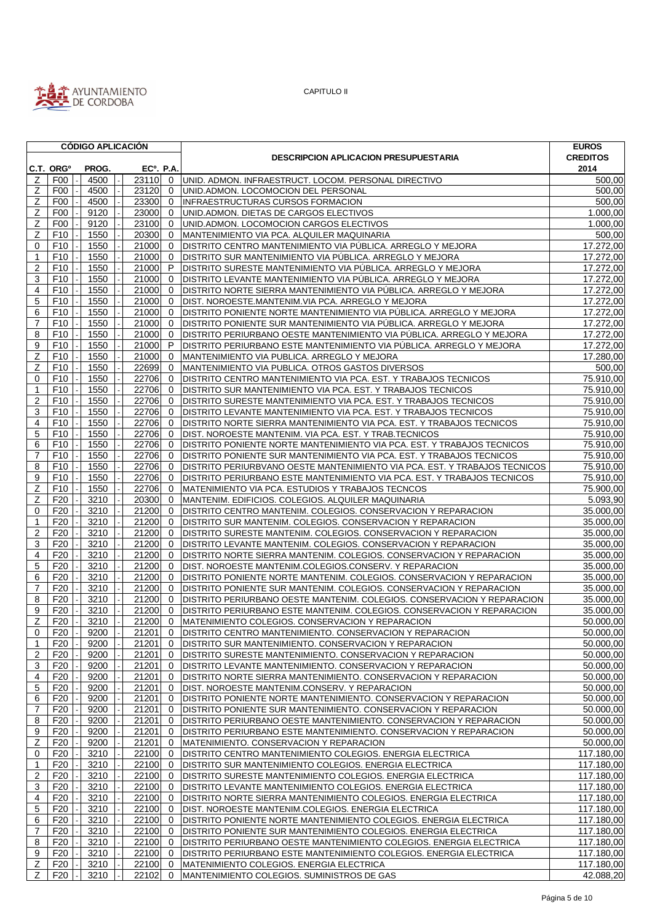

|                     |                       | <b>CÓDIGO APLICACIÓN</b> |                        |                |                                                                            | <b>EUROS</b>           |
|---------------------|-----------------------|--------------------------|------------------------|----------------|----------------------------------------------------------------------------|------------------------|
|                     |                       |                          |                        |                | <b>DESCRIPCION APLICACION PRESUPUESTARIA</b>                               | <b>CREDITOS</b>        |
|                     | C.T. ORG <sup>o</sup> | PROG.                    | EC <sup>o</sup> . P.A. |                |                                                                            | 2014                   |
| Z                   | F <sub>0</sub>        | 4500                     | 23110 0                |                | UNID. ADMON. INFRAESTRUCT. LOCOM. PERSONAL DIRECTIVO                       | 500,00                 |
| Z                   | F <sub>0</sub>        | 4500                     | 23120                  | $\mathbf{0}$   | UNID.ADMON. LOCOMOCION DEL PERSONAL                                        | 500,00                 |
| Ζ                   | F00                   | 4500                     | 23300                  | $\mathbf 0$    | INFRAESTRUCTURAS CURSOS FORMACION                                          | 500,00                 |
| Ζ                   | F <sub>00</sub>       | 9120                     | 23000                  | $\mathbf{0}$   | UNID.ADMON. DIETAS DE CARGOS ELECTIVOS                                     | 1.000,00               |
| Z                   | F <sub>00</sub>       | 9120                     | 23100                  | $\mathbf{0}$   | UNID.ADMON. LOCOMOCION CARGOS ELECTIVOS                                    | 1.000,00               |
| Z                   | F10                   | 1550                     | 20300                  | $\mathbf{0}$   | MANTENIMIENTO VIA PCA. ALQUILER MAQUINARIA                                 | 500,00                 |
| 0                   | F <sub>10</sub>       | 1550                     | 21000                  | $\mathbf 0$    | DISTRITO CENTRO MANTENIMIENTO VIA PÚBLICA. ARREGLO Y MEJORA                | 17.272,00              |
| $\mathbf 1$         | F <sub>10</sub>       | 1550                     | 21000                  | $\mathbf 0$    | DISTRITO SUR MANTENIMIENTO VIA PÚBLICA. ARREGLO Y MEJORA                   | 17.272,00              |
| $\overline{2}$      | F <sub>10</sub>       | 1550                     | 21000                  | P              | DISTRITO SURESTE MANTENIMIENTO VIA PÚBLICA. ARREGLO Y MEJORA               | $\overline{17.272,00}$ |
| 3                   | F10                   | 1550                     | 21000                  | $\mathbf 0$    | DISTRITO LEVANTE MANTENIMIENTO VIA PÚBLICA. ARREGLO Y MEJORA               | 17.272,00              |
| 4                   | F <sub>10</sub>       | 1550                     | 21000                  | $\mathbf 0$    | DISTRITO NORTE SIERRA MANTENIMIENTO VIA PÚBLICA. ARREGLO Y MEJORA          | 17.272,00              |
| 5                   | F10                   | 1550                     | 21000                  | $\mathbf{0}$   | DIST. NOROESTE.MANTENIM.VIA PCA. ARREGLO Y MEJORA                          | 17.272,00              |
| 6                   | F <sub>10</sub>       | 1550                     | 21000                  | $\mathbf 0$    | DISTRITO PONIENTE NORTE MANTENIMIENTO VIA PUBLICA. ARREGLO Y MEJORA        | 17.272,00              |
| 7                   | F <sub>10</sub>       | 1550                     | 21000                  | $\mathbf 0$    | DISTRITO PONIENTE SUR MANTENIMIENTO VIA PÚBLICA. ARREGLO Y MEJORA          | 17.272,00              |
| 8                   | F <sub>10</sub>       | 1550                     | 21000                  | $\mathbf 0$    | DISTRITO PERIURBANO OESTE MANTENIMIENTO VIA PÚBLICA. ARREGLO Y MEJORA      | 17.272,00              |
| 9                   | F10                   | 1550                     | 21000                  | P              | DISTRITO PERIURBANO ESTE MANTENIMIENTO VIA PÚBLICA. ARREGLO Y MEJORA       | 17.272,00              |
| Ζ                   | F <sub>10</sub>       | 1550                     | 21000                  | $\mathbf 0$    | MANTENIMIENTO VIA PUBLICA. ARREGLO Y MEJORA                                | 17.280,00              |
| Z                   | F <sub>10</sub>       | 1550                     | 22699                  | $\mathbf 0$    | MANTENIMIENTO VIA PUBLICA. OTROS GASTOS DIVERSOS                           | 500,00                 |
| $\mathbf 0$         | F <sub>10</sub>       | 1550                     | 22706                  | $\mathbf 0$    | DISTRITO CENTRO MANTENIMIENTO VIA PCA. EST. Y TRABAJOS TECNICOS            | 75.910,00              |
| $\mathbf{1}$        | F <sub>10</sub>       | 1550                     | 22706                  | $\mathbf{0}$   | DISTRITO SUR MANTENIMIENTO VIA PCA. EST. Y TRABAJOS TECNICOS               | 75.910,00              |
| $\overline{2}$      | F <sub>10</sub>       | 1550                     | 22706                  | $\mathbf 0$    | DISTRITO SURESTE MANTENIMIENTO VIA PCA. EST. Y TRABAJOS TECNICOS           | 75.910,00              |
| 3                   | F <sub>10</sub>       | 1550                     | 22706                  | $\mathbf 0$    | DISTRITO LEVANTE MANTENIMIENTO VIA PCA. EST. Y TRABAJOS TECNICOS           | 75.910,00              |
| 4                   | F <sub>10</sub>       | 1550                     | 22706                  | $\mathbf 0$    | DISTRITO NORTE SIERRA MANTENIMIENTO VIA PCA. EST. Y TRABAJOS TECNICOS      | 75.910,00              |
|                     |                       |                          |                        |                |                                                                            | 75.910,00              |
| 5                   | F <sub>10</sub>       | 1550                     | 22706                  | $\mathbf 0$    | DIST. NOROESTE MANTENIM. VIA PCA. EST. Y TRAB.TECNICOS                     |                        |
| 6                   | F <sub>10</sub>       | 1550                     | 22706                  | $\mathbf 0$    | DISTRITO PONIENTE NORTE MANTENIMIENTO VIA PCA. EST. Y TRABAJOS TECNICOS    | 75.910,00              |
| 7                   | F10                   | 1550                     | 22706                  | $\mathbf{0}$   | DISTRITO PONIENTE SUR MANTENIMIENTO VIA PCA. EST. Y TRABAJOS TECNICOS      | 75.910,00              |
| 8                   | F <sub>10</sub>       | 1550                     | 22706                  | $\mathbf{0}$   | DISTRITO PERIURBVANO OESTE MANTENIMIENTO VIA PCA. EST. Y TRABAJOS TECNICOS | 75.910,00              |
| 9                   | F <sub>10</sub>       | 1550                     | 22706                  | $\mathbf 0$    | DISTRITO PERIURBANO ESTE MANTENIMIENTO VIA PCA. EST. Y TRABAJOS TECNICOS   | 75.910,00              |
| Ζ                   | F10                   | 1550                     | 22706                  | $\mathbf 0$    | MATENIMIENTO VIA PCA. ESTUDIOS Y TRABAJOS TECNCOS                          | 75.900,00              |
| Z                   | F <sub>20</sub>       | 3210                     | 20300                  | $\mathbf{0}$   | MANTENIM. EDIFICIOS. COLEGIOS. ALQUILER MAQUINARIA                         | $\overline{5.093,90}$  |
| $\mathbf 0$         | F <sub>20</sub>       | 3210                     | 21200                  | $\mathbf{0}$   | DISTRITO CENTRO MANTENIM. COLEGIOS. CONSERVACION Y REPARACION              | 35.000,00              |
| -1                  | F <sub>20</sub>       | 3210                     | 21200                  | $\mathbf 0$    | DISTRITO SUR MANTENIM. COLEGIOS. CONSERVACION Y REPARACION                 | 35.000,00              |
| $\overline{2}$      | F <sub>20</sub>       | 3210                     | 21200                  | $\mathbf{0}$   | DISTRITO SURESTE MANTENIM. COLEGIOS. CONSERVACION Y REPARACION             | 35.000,00              |
| 3                   | F <sub>20</sub>       | 3210                     | 21200                  | $\mathbf 0$    | DISTRITO LEVANTE MANTENIM. COLEGIOS. CONSERVACION Y REPARACION             | 35.000,00              |
| $\overline{4}$      | F <sub>20</sub>       | 3210                     | 21200                  | $\mathbf{0}$   | DISTRITO NORTE SIERRA MANTENIM. COLEGIOS. CONSERVACION Y REPARACION        | 35.000,00              |
| 5                   | F <sub>20</sub>       | 3210                     | 21200                  | $\mathbf{0}$   | DIST. NOROESTE MANTENIM.COLEGIOS.CONSERV. Y REPARACION                     | 35.000,00              |
| 6                   | F <sub>20</sub>       | 3210                     | 21200                  | $\mathbf 0$    | DISTRITO PONIENTE NORTE MANTENIM. COLEGIOS. CONSERVACION Y REPARACION      | 35.000,00              |
| $\overline{7}$      | F <sub>20</sub>       | 3210                     | 21200                  | $\mathbf 0$    | DISTRITO PONIENTE SUR MANTENIM. COLEGIOS. CONSERVACION Y REPARACION        | $\overline{35.000,00}$ |
| 8                   | F <sub>20</sub>       | 3210                     | 21200                  | $\mathbf 0$    | DISTRITO PERIURBANO OESTE MANTENIM. COLEGIOS. CONSERVACION Y REPARACION    | 35.000,00              |
| 9                   | F <sub>20</sub>       | 3210                     | 21200                  | $\Omega$       | DISTRITO PERIURBANO ESTE MANTENIM. COLEGIOS. CONSERVACION Y REPARACION     | 35.000,00              |
| Ζ                   | F <sub>20</sub>       | 3210                     | 21200                  | $\mathbf{0}$   | MATENIMIENTO COLEGIOS. CONSERVACION Y REPARACION                           | 50.000,00              |
| $\mathsf{O}\xspace$ | F20                   | 9200                     | 21201                  | $\overline{0}$ | DISTRITO CENTRO MANTENIMIENTO. CONSERVACION Y REPARACION                   | 50.000,00              |
| $\mathbf 1$         | F <sub>20</sub>       | 9200                     | 21201                  | 0              | DISTRITO SUR MANTENIMIENTO. CONSERVACION Y REPARACION                      | 50.000.00              |
| 2                   | F <sub>20</sub>       | 9200                     | 21201                  | 0              | DISTRITO SURESTE MANTENIMIENTO. CONSERVACION Y REPARACION                  | 50.000,00              |
| 3                   | F <sub>20</sub>       | 9200                     | 21201                  | 0              | DISTRITO LEVANTE MANTENIMIENTO. CONSERVACION Y REPARACION                  | 50.000,00              |
| 4                   | F <sub>20</sub>       | 9200                     | 21201                  | 0              | DISTRITO NORTE SIERRA MANTENIMIENTO. CONSERVACION Y REPARACION             | 50.000,00              |
| 5                   | F <sub>20</sub>       | 9200                     | 21201                  | $\mathbf{0}$   | DIST. NOROESTE MANTENIM.CONSERV. Y REPARACION                              | 50.000,00              |
| 6                   | F <sub>20</sub>       | 9200                     | 21201                  | 0              | DISTRITO PONIENTE NORTE MANTENIMIENTO. CONSERVACION Y REPARACION           | 50.000,00              |
| $\overline{7}$      | F <sub>20</sub>       | 9200                     | 21201                  | $\mathbf{0}$   | DISTRITO PONIENTE SUR MANTENIMIENTO. CONSERVACION Y REPARACION             | 50.000,00              |
| 8                   | F <sub>20</sub>       | 9200                     | 21201                  | $\mathbf{0}$   | DISTRITO PERIURBANO OESTE MANTENIMIENTO. CONSERVACION Y REPARACION         | 50.000,00              |
| 9                   | F <sub>20</sub>       | 9200                     | 21201                  | 0              | DISTRITO PERIURBANO ESTE MANTENIMIENTO. CONSERVACION Y REPARACION          | 50.000,00              |
| Z                   | F <sub>20</sub>       | 9200                     | 21201                  | $\mathbf{0}$   | MATENIMIENTO. CONSERVACION Y REPARACION                                    | 50.000,00              |
| 0                   | F <sub>20</sub>       | 3210                     | 22100                  | $\mathbf{0}$   | DISTRITO CENTRO MANTENIMIENTO COLEGIOS. ENERGIA ELECTRICA                  | 117.180,00             |
| 1                   | F <sub>20</sub>       | 3210                     | 22100                  | 0              | DISTRITO SUR MANTENIMIENTO COLEGIOS. ENERGIA ELECTRICA                     | 117.180,00             |
| 2                   | F <sub>20</sub>       | 3210                     | 22100                  | $\mathbf{0}$   | DISTRITO SURESTE MANTENIMIENTO COLEGIOS. ENERGIA ELECTRICA                 | 117.180,00             |
|                     | F <sub>20</sub>       | 3210                     |                        | $\mathbf{0}$   |                                                                            | 117.180,00             |
| 3                   |                       |                          | 22100                  |                | DISTRITO LEVANTE MANTENIMIENTO COLEGIOS. ENERGIA ELECTRICA                 |                        |
| 4                   | F <sub>20</sub>       | 3210                     | 22100                  | $\mathbf 0$    | DISTRITO NORTE SIERRA MANTENIMIENTO COLEGIOS. ENERGIA ELECTRICA            | 117.180,00             |
| 5                   | F <sub>20</sub>       | 3210                     | 22100                  | $\mathbf{0}$   | DIST. NOROESTE MANTENIM.COLEGIOS. ENERGIA ELECTRICA                        | 117.180,00             |
| 6                   | F <sub>20</sub>       | 3210                     | 22100                  | $\mathbf{0}$   | DISTRITO PONIENTE NORTE MANTENIMIENTO COLEGIOS. ENERGIA ELECTRICA          | 117.180,00             |
| $\overline{7}$      | F <sub>20</sub>       | 3210                     | 22100                  | $\mathbf{0}$   | DISTRITO PONIENTE SUR MANTENIMIENTO COLEGIOS. ENERGIA ELECTRICA            | 117.180,00             |
| 8                   | F20                   | 3210                     | $22100$ 0              |                | DISTRITO PERIURBANO OESTE MANTENIMIENTO COLEGIOS. ENERGIA ELECTRICA        | 117.180,00             |
| 9                   | F <sub>20</sub>       | 3210                     | 22100 0                |                | DISTRITO PERIURBANO ESTE MANTENIMIENTO COLEGIOS. ENERGIA ELECTRICA         | 117.180,00             |
| Z                   | F20                   | 3210                     | 22100                  | $\overline{0}$ | MATENIMIENTO COLEGIOS. ENERGIA ELECTRICA                                   | 117.180,00             |
| Z                   | F <sub>20</sub>       | 3210                     | $22102$ 0              |                | MANTENIMIENTO COLEGIOS. SUMINISTROS DE GAS                                 | 42.088,20              |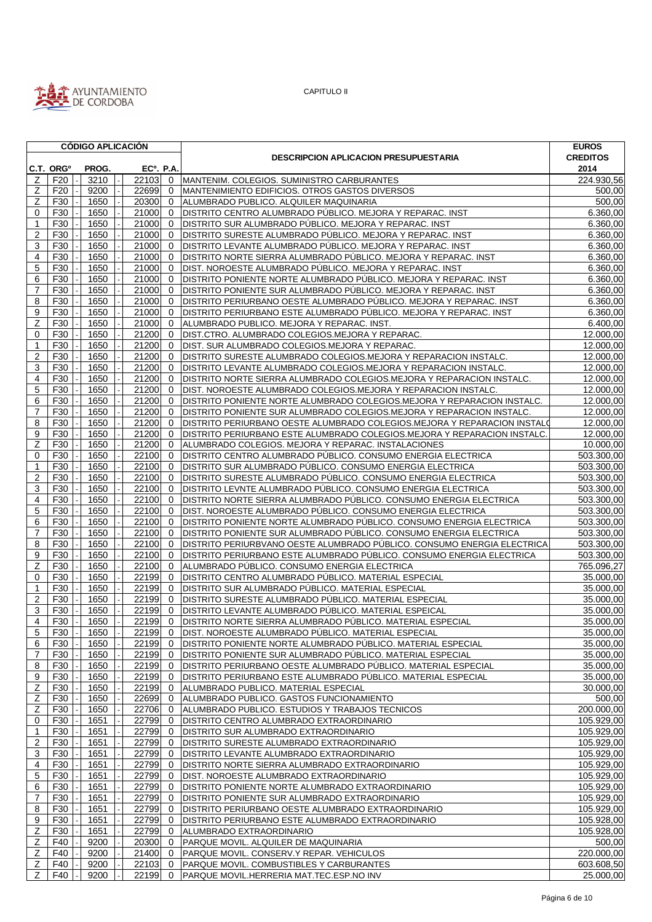

|                                |                       | <b>CODIGO APLICACION</b> |                  |              |                                                                          | <b>EUROS</b>    |
|--------------------------------|-----------------------|--------------------------|------------------|--------------|--------------------------------------------------------------------------|-----------------|
|                                |                       |                          |                  |              | <b>DESCRIPCION APLICACION PRESUPUESTARIA</b>                             | <b>CREDITOS</b> |
|                                | C.T. ORG <sup>o</sup> | PROG.                    | <b>ECº. P.A.</b> |              |                                                                          | 2014            |
| Ζ                              | F <sub>20</sub>       | 3210                     | 22103 0          |              | MANTENIM. COLEGIOS. SUMINISTRO CARBURANTES                               | 224.930,56      |
| Z                              | F <sub>20</sub>       | 9200                     | 22699            | 0            | MANTENIMIENTO EDIFICIOS. OTROS GASTOS DIVERSOS                           | 500,00          |
| Ζ                              | F30                   | 1650                     | 20300            | $\mathbf{0}$ | <b>ALUMBRADO PUBLICO, ALQUILER MAQUINARIA</b>                            | 500,00          |
| 0                              | F30                   | 1650                     | 21000            | $\mathbf{0}$ | DISTRITO CENTRO ALUMBRADO PÚBLICO, MEJORA Y REPARAC, INST                | 6.360.00        |
| -1                             | F30                   | 1650                     | 21000            | $\mathbf{0}$ | DISTRITO SUR ALUMBRADO PÚBLICO. MEJORA Y REPARAC. INST                   | 6.360,00        |
| $\overline{2}$                 | F30                   | 1650                     | 21000            | $\mathbf{0}$ | DISTRITO SURESTE ALUMBRADO PÚBLICO. MEJORA Y REPARAC. INST               | 6.360,00        |
| 3                              | F30                   | 1650                     | 21000            | $\mathbf{0}$ | DISTRITO LEVANTE ALUMBRADO PÚBLICO. MEJORA Y REPARAC. INST               | 6.360,00        |
| $\overline{4}$                 | F30                   | 1650                     | 21000            | $\mathbf{0}$ | DISTRITO NORTE SIERRA ALUMBRADO PÚBLICO. MEJORA Y REPARAC. INST          | 6.360,00        |
| 5                              | F30                   | 1650                     | 21000            | $\mathbf{0}$ | DIST. NOROESTE ALUMBRADO PÚBLICO. MEJORA Y REPARAC. INST                 | 6.360,00        |
| 6                              | F30                   | 1650                     | 21000            | $\mathbf{0}$ | DISTRITO PONIENTE NORTE ALUMBRADO PÚBLICO. MEJORA Y REPARAC. INST        | 6.360,00        |
| $\overline{7}$                 | F30                   | 1650                     | 21000            | $\mathbf{0}$ | DISTRITO PONIENTE SUR ALUMBRADO PÚBLICO. MEJORA Y REPARAC. INST          | 6.360,00        |
| 8                              | F30                   | 1650                     | 21000            | $\mathbf{0}$ | DISTRITO PERIURBANO OESTE ALUMBRADO PÚBLICO. MEJORA Y REPARAC. INST      | 6.360,00        |
| 9                              | F30                   | 1650                     | 21000            | $\mathbf{0}$ | DISTRITO PERIURBANO ESTE ALUMBRADO PÚBLICO. MEJORA Y REPARAC. INST       | 6.360,00        |
| Z                              | F30                   | 1650                     | 21000            | $\mathbf 0$  | ALUMBRADO PUBLICO. MEJORA Y REPARAC. INST.                               | 6.400,00        |
| $\mathbf 0$                    | F30                   | 1650                     | 21200            | $\mathbf{0}$ | DIST.CTRO. ALUMBRADO COLEGIOS.MEJORA Y REPARAC.                          | 12.000,00       |
| -1                             | F30                   | 1650                     | 21200            | $\mathbf{0}$ | DIST. SUR ALUMBRADO COLEGIOS.MEJORA Y REPARAC.                           | 12.000,00       |
| $\overline{2}$                 | F30                   | 1650                     | 21200            | $\mathbf 0$  | DISTRITO SURESTE ALUMBRADO COLEGIOS.MEJORA Y REPARACION INSTALC.         | 12.000,00       |
| 3                              | F30                   | 1650                     | 21200            | $\mathbf{0}$ | DISTRITO LEVANTE ALUMBRADO COLEGIOS.MEJORA Y REPARACION INSTALC.         | 12.000,00       |
| 4                              | F30                   | 1650                     | 21200            | $\mathbf{0}$ | DISTRITO NORTE SIERRA ALUMBRADO COLEGIOS.MEJORA Y REPARACION INSTALC.    | 12.000,00       |
| 5                              | F30                   | 1650                     | 21200            | $\mathbf 0$  | DIST. NOROESTE ALUMBRADO COLEGIOS.MEJORA Y REPARACION INSTALC.           | 12.000,00       |
| 6                              | F30                   | 1650                     | 21200            | $\mathbf 0$  | DISTRITO PONIENTE NORTE ALUMBRADO COLEGIOS.MEJORA Y REPARACION INSTALC.  | 12.000,00       |
| 7                              | F30                   | 1650                     | 21200            | $\mathbf{0}$ | DISTRITO PONIENTE SUR ALUMBRADO COLEGIOS.MEJORA Y REPARACION INSTALC.    | 12.000,00       |
| 8                              | F30                   | 1650                     | 21200            | $\mathbf{0}$ | DISTRITO PERIURBANO OESTE ALUMBRADO COLEGIOS.MEJORA Y REPARACION INSTALO | 12.000,00       |
| 9                              | F30                   | 1650                     | 21200            | $\mathbf{0}$ | DISTRITO PERIURBANO ESTE ALUMBRADO COLEGIOS.MEJORA Y REPARACION INSTALC. | 12.000,00       |
| Ζ                              | F30                   | 1650                     | 21200            | $\mathbf{0}$ | ALUMBRADO COLEGIOS. MEJORA Y REPARAC. INSTALACIONES                      | 10.000.00       |
| 0                              | F30                   | 1650                     | 22100            | $\mathbf{0}$ | DISTRITO CENTRO ALUMBRADO PÚBLICO. CONSUMO ENERGIA ELECTRICA             | 503.300,00      |
| -1                             | F30                   | 1650                     | 22100            | $\mathbf 0$  | DISTRITO SUR ALUMBRADO PÚBLICO. CONSUMO ENERGIA ELECTRICA                | 503.300,00      |
| $\overline{2}$                 | F30                   | 1650                     | 22100            | $\mathbf 0$  | DISTRITO SURESTE ALUMBRADO PÚBLICO. CONSUMO ENERGIA ELECTRICA            | 503.300,00      |
| 3                              | F30                   | 1650                     | 22100            | $\mathbf 0$  | DISTRITO LEVNTE ALUMBRADO PÚBLICO. CONSUMO ENERGIA ELECTRICA             | 503.300,00      |
| 4                              | F30                   | 1650                     | 22100            | $\mathbf{0}$ | DISTRITO NORTE SIERRA ALUMBRADO PÚBLICO. CONSUMO ENERGIA ELECTRICA       | 503.300,00      |
| 5                              | F30                   | 1650                     | 22100            | $\mathbf{0}$ | DIST. NOROESTE ALUMBRADO PÚBLICO. CONSUMO ENERGIA ELECTRICA              | 503.300,00      |
| 6                              | F30                   | 1650                     | 22100            | $\mathbf{0}$ | DISTRITO PONIENTE NORTE ALUMBRADO PÚBLICO. CONSUMO ENERGIA ELECTRICA     | 503.300,00      |
| $\overline{7}$                 | F30                   | 1650                     | 22100            | $\mathbf 0$  | DISTRITO PONIENTE SUR ALUMBRADO PÚBLICO. CONSUMO ENERGIA ELECTRICA       | 503.300,00      |
| 8                              | F30                   | 1650                     | 22100            | $\mathbf{0}$ | DISTRITO PERIURBVANO OESTE ALUMBRADO PÚBLICO. CONSUMO ENERGIA ELECTRICA  | 503.300,00      |
| 9                              | F30                   | 1650                     | 22100            | $\mathbf{0}$ | DISTRITO PERIURBANO ESTE ALUMBRADO PÚBLICO. CONSUMO ENERGIA ELECTRICA    | 503.300,00      |
| Z                              | F30                   | 1650                     | 22100            | $\mathbf{0}$ | ALUMBRADO PÚBLICO. CONSUMO ENERGIA ELECTRICA                             | 765.096,27      |
| $\Omega$                       | F30                   | 1650                     | 22199            | $\Omega$     | DISTRITO CENTRO ALUMBRADO PÚBLICO. MATERIAL ESPECIAL                     | 35.000,00       |
|                                | F30                   | 1650                     | 22199            | $\mathbf{0}$ | DISTRITO SUR ALUMBRADO PÚBLICO. MATERIAL ESPECIAL                        | 35.000,00       |
| $\mathbf{1}$<br>$\overline{2}$ | F30                   | 1650                     | 22199            | $\mathbf{0}$ | DISTRITO SURESTE ALUMBRADO PÚBLICO. MATERIAL ESPECIAL                    | 35.000,00       |
| 3                              | F30                   | 1650                     | 22199            | $\Omega$     |                                                                          | 35.000,00       |
| 4                              |                       |                          |                  |              | DISTRITO LEVANTE ALUMBRADO PÚBLICO. MATERIAL ESPEICAL                    |                 |
|                                | F30                   | 1650                     | 22199 0          |              | DISTRITO NORTE SIERRA ALUMBRADO PÚBLICO. MATERIAL ESPECIAL               | 35.000,00       |
|                                | 5 F30                 | $1650$ -                 |                  |              | 22199 0 DIST. NOROESTE ALUMBRADO PÚBLICO. MATERIAL ESPECIAL              | 35.000,00       |
| 6                              | F30                   | 1650                     | 22199 0          |              | DISTRITO PONIENTE NORTE ALUMBRADO PÚBLICO. MATERIAL ESPECIAL             | 35.000,00       |
| 7                              | F30                   | 1650                     | 22199 0          |              | DISTRITO PONIENTE SUR ALUMBRADO PÚBLICO. MATERIAL ESPECIAL               | 35.000,00       |
| 8                              | F30                   | 1650                     | 22199            | $\mathbf{0}$ | DISTRITO PERIURBANO OESTE ALUMBRADO PÚBLICO. MATERIAL ESPECIAL           | 35.000,00       |
| 9                              | F30                   | 1650                     | 22199            | $\mathbf{0}$ | DISTRITO PERIURBANO ESTE ALUMBRADO PÚBLICO. MATERIAL ESPECIAL            | 35.000,00       |
| z                              | F30                   | 1650                     | 22199            | $\mathbf{0}$ | ALUMBRADO PUBLICO. MATERIAL ESPECIAL                                     | 30.000,00       |
| Z                              | F30                   | 1650                     | 22699            | $\mathbf{0}$ | ALUMBRADO PUBLICO. GASTOS FUNCIONAMIENTO                                 | 500,00          |
| z                              | F30                   | 1650                     | 22706            | $\mathbf{0}$ | ALUMBRADO PUBLICO. ESTUDIOS Y TRABAJOS TECNICOS                          | 200.000,00      |
| 0                              | F30                   | 1651                     | 22799            | $\mathbf{0}$ | <b>DISTRITO CENTRO ALUMBRADO EXTRAORDINARIO</b>                          | 105.929,00      |
| 1                              | F30                   | 1651                     | 22799            | $\mathbf{0}$ | <b>DISTRITO SUR ALUMBRADO EXTRAORDINARIO</b>                             | 105.929,00      |
| $\overline{2}$                 | F30                   | 1651                     | 22799            | $\mathbf{0}$ | <b>DISTRITO SURESTE ALUMBRADO EXTRAORDINARIO</b>                         | 105.929,00      |
| 3                              | F30                   | 1651                     | 22799            | $\mathbf{0}$ | DISTRITO LEVANTE ALUMBRADO EXTRAORDINARIO                                | 105.929,00      |
| 4                              | F30                   | 1651                     | 22799            | $\mathbf{0}$ | DISTRITO NORTE SIERRA ALUMBRADO EXTRAORDINARIO                           | 105.929,00      |
| 5                              | F30                   | 1651                     | 22799            | $\mathbf 0$  | DIST. NOROESTE ALUMBRADO EXTRAORDINARIO                                  | 105.929,00      |
| 6                              | F30                   | 1651                     | 22799            | $\mathbf{0}$ | DISTRITO PONIENTE NORTE ALUMBRADO EXTRAORDINARIO                         | 105.929,00      |
| $\overline{7}$                 | F30                   | 1651                     | 22799            | $\mathbf{0}$ | DISTRITO PONIENTE SUR ALUMBRADO EXTRAORDINARIO                           | 105.929,00      |
| 8                              | F30                   | 1651                     | 22799            | $\mathbf 0$  | DISTRITO PERIURBANO OESTE ALUMBRADO EXTRAORDINARIO                       | 105.929,00      |
| 9                              | F30                   | 1651                     | 22799            | $\mathbf{0}$ | DISTRITO PERIURBANO ESTE ALUMBRADO EXTRAORDINARIO                        | 105.928,00      |
| z                              | F30                   | 1651                     | 22799            |              | 0 ALUMBRADO EXTRAORDINARIO                                               | 105.928,00      |
| Z                              | F40                   | 9200                     |                  |              | 20300 0 PARQUE MOVIL. ALQUILER DE MAQUINARIA                             | 500,00          |
| Z                              | F40                   | 9200                     | 21400            | $\mathbf{0}$ | PARQUE MOVIL. CONSERV.Y REPAR. VEHICULOS                                 | 220.000,00      |
| z                              | F40                   | 9200                     | $22103$ 0        |              | PARQUE MOVIL. COMBUSTIBLES Y CARBURANTES                                 | 603.608,50      |
| $\overline{z}$                 | F40                   | 9200                     |                  |              | 22199 0 PARQUE MOVIL.HERRERIA MAT.TEC.ESP.NO INV                         | 25.000,00       |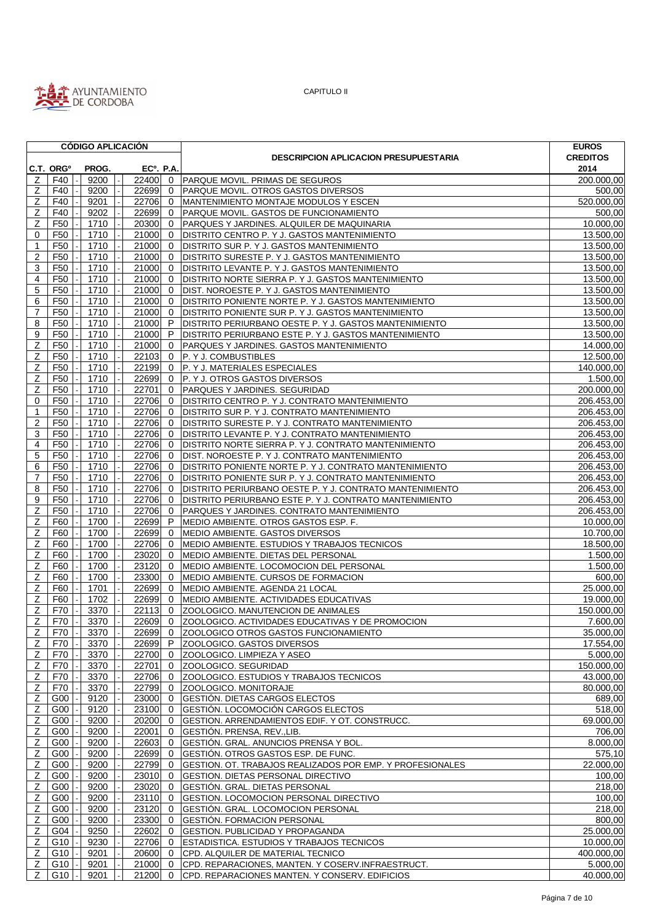

|                |                                   | <b>CÓDIGO APLICACIÓN</b> |                  |                |                                                           | <b>EUROS</b>          |
|----------------|-----------------------------------|--------------------------|------------------|----------------|-----------------------------------------------------------|-----------------------|
|                |                                   |                          |                  |                | <b>DESCRIPCION APLICACION PRESUPUESTARIA</b>              | <b>CREDITOS</b>       |
|                | C.T. ORG <sup>o</sup>             | PROG.                    | <b>ECº. P.A.</b> |                |                                                           | 2014                  |
| z              | F40                               | 9200                     | 22400 0          |                | PARQUE MOVIL. PRIMAS DE SEGUROS                           | 200.000,00            |
| Ζ              | F40                               | 9200                     | 22699            | 0              | PARQUE MOVIL. OTROS GASTOS DIVERSOS                       | 500,00                |
| z              | F40                               | 9201                     | 22706            | $\mathbf{0}$   | MANTENIMIENTO MONTAJE MODULOS Y ESCEN                     | 520.000,00            |
| Ζ              | F40                               | 9202                     | 22699            | $\mathbf{0}$   | PARQUE MOVIL. GASTOS DE FUNCIONAMIENTO                    | 500,00                |
| Z              | F <sub>50</sub>                   | 1710                     | 20300            | $\overline{0}$ | PARQUES Y JARDINES. ALQUILER DE MAQUINARIA                | 10.000,00             |
| 0              | F <sub>50</sub>                   | 1710                     | 21000            | $\mathbf{0}$   | DISTRITO CENTRO P. Y J. GASTOS MANTENIMIENTO              | 13.500,00             |
| 1              | F50                               | 1710                     | 21000            | $\mathbf{0}$   | DISTRITO SUR P. Y J. GASTOS MANTENIMIENTO                 | 13.500,00             |
| $\overline{2}$ | F <sub>50</sub>                   | 1710                     | 21000            | $\mathbf{0}$   | DISTRITO SURESTE P. Y J. GASTOS MANTENIMIENTO             | 13.500,00             |
| 3              | F <sub>50</sub>                   | 1710                     | 21000            | $\mathbf 0$    | DISTRITO LEVANTE P. Y J. GASTOS MANTENIMIENTO             | 13.500,00             |
| 4              | F <sub>50</sub>                   | 1710                     | 21000            | $\mathbf 0$    | DISTRITO NORTE SIERRA P. Y J. GASTOS MANTENIMIENTO        | 13.500,00             |
| 5              | F <sub>50</sub>                   | 1710                     | 21000            | $\mathbf{0}$   | DIST. NOROESTE P. Y J. GASTOS MANTENIMIENTO               | 13.500,00             |
| 6              | F <sub>50</sub>                   | 1710                     | 21000            | $\mathbf{0}$   | DISTRITO PONIENTE NORTE P. Y J. GASTOS MANTENIMIENTO      | 13.500,00             |
| 7              | F <sub>50</sub>                   | 1710                     | 21000            | $\overline{0}$ | DISTRITO PONIENTE SUR P. Y J. GASTOS MANTENIMIENTO        | 13.500,00             |
| 8              | F <sub>50</sub>                   | 1710                     | 21000 P          |                | DISTRITO PERIURBANO OESTE P. Y J. GASTOS MANTENIMIENTO    | 13.500,00             |
| 9              | F <sub>50</sub>                   | 1710                     | 21000            | P              | DISTRITO PERIURBANO ESTE P. Y J. GASTOS MANTENIMIENTO     | 13.500,00             |
| Ζ              | F <sub>50</sub>                   | 1710                     | 21000            | $\mathbf{0}$   | PARQUES Y JARDINES. GASTOS MANTENIMIENTO                  | 14.000,00             |
| Ζ              | F <sub>50</sub>                   | 1710                     | 22103            | $\mathbf{0}$   | P. Y J. COMBUSTIBLES                                      | 12.500,00             |
| Ζ              | F <sub>50</sub>                   | 1710                     | 22199            | $\mathbf{0}$   | P. Y J. MATERIALES ESPECIALES                             | 140.000,00            |
| Ζ              | F <sub>50</sub>                   | 1710                     | 22699            | $\mathbf{0}$   | P. Y J. OTROS GASTOS DIVERSOS                             | 1.500,00              |
| Z              | F <sub>50</sub>                   | 1710                     | 22701            | $\mathbf{0}$   | <b>PARQUES Y JARDINES. SEGURIDAD</b>                      | 200.000,00            |
| $\mathbf 0$    | F <sub>50</sub>                   | 1710                     | 22706            | $\Omega$       | DISTRITO CENTRO P. Y J. CONTRATO MANTENIMIENTO            | 206.453,00            |
| -1             | F <sub>50</sub>                   | 1710                     | 22706            | $\mathbf{0}$   | DISTRITO SUR P. Y J. CONTRATO MANTENIMIENTO               | 206.453,00            |
| $\overline{2}$ | F <sub>50</sub>                   | 1710                     | 22706            | $\mathbf 0$    | DISTRITO SURESTE P. Y J. CONTRATO MANTENIMIENTO           | 206.453,00            |
| 3              | F <sub>50</sub>                   | 1710                     | 22706            | $\mathbf{0}$   | DISTRITO LEVANTE P. Y J. CONTRATO MANTENIMIENTO           | 206.453,00            |
| $\overline{4}$ | F <sub>50</sub>                   | 1710                     | 22706            | $\mathbf 0$    | DISTRITO NORTE SIERRA P. Y J. CONTRATO MANTENIMIENTO      | 206.453,00            |
| 5              | F <sub>50</sub>                   | 1710                     | 22706            | $\mathbf{0}$   | DIST. NOROESTE P. Y J. CONTRATO MANTENIMIENTO             | 206.453,00            |
| 6              | F <sub>50</sub>                   | 1710                     | 22706            | $\mathbf 0$    | DISTRITO PONIENTE NORTE P. Y J. CONTRATO MANTENIMIENTO    | 206.453,00            |
| 7              | F <sub>50</sub>                   | 1710                     | 22706            | $\mathbf{0}$   | DISTRITO PONIENTE SUR P. Y J. CONTRATO MANTENIMIENTO      | 206.453,00            |
| 8              | F <sub>50</sub>                   | 1710                     | 22706            | $\mathbf{0}$   | DISTRITO PERIURBANO OESTE P. Y J. CONTRATO MANTENIMIENTO  | 206.453,00            |
| 9              | F <sub>50</sub>                   | 1710                     | 22706            | $\mathbf{0}$   | DISTRITO PERIURBANO ESTE P. Y J. CONTRATO MANTENIMIENTO   | 206.453,00            |
| Ζ              | F <sub>50</sub>                   | 1710                     | 22706            | 0              | PARQUES Y JARDINES. CONTRATO MANTENIMIENTO                | 206.453,00            |
| Z              | F60                               | 1700                     | 22699            | P              | MEDIO AMBIENTE. OTROS GASTOS ESP. F.                      | 10.000,00             |
| Z              | F60                               | 1700                     | 22699            | $\mathbf{0}$   | MEDIO AMBIENTE. GASTOS DIVERSOS                           | 10.700,00             |
| z              | F60                               | 1700                     | 22706            | $\mathbf{0}$   | MEDIO AMBIENTE. ESTUDIOS Y TRABAJOS TECNICOS              | 18.500,00             |
| Ζ              | F60                               | 1700                     | 23020            | $\overline{0}$ | MEDIO AMBIENTE. DIETAS DEL PERSONAL                       | $\overline{1.500,00}$ |
| Z              | F60                               | 1700                     | 23120            | $\mathbf{0}$   | MEDIO AMBIENTE. LOCOMOCION DEL PERSONAL                   | 1.500,00              |
| Z              | F60                               | 1700                     | 23300            | $\mathbf{0}$   | MEDIO AMBIENTE. CURSOS DE FORMACION                       | 600,00                |
| Ζ              | F60                               | 1701                     | 22699            | $\mathbf 0$    | MEDIO AMBIENTE. AGENDA 21 LOCAL                           | 25.000,00             |
| Z              | F60                               | 1702                     | 22699            | $\overline{0}$ | MEDIO AMBIENTE. ACTIVIDADES EDUCATIVAS                    | 19.000,00             |
| z              | F70                               | 3370                     | 22113            | $\overline{0}$ | ZOOLOGICO. MANUTENCION DE ANIMALES                        | 150.000,00            |
| Ζ              | F70                               | 3370                     |                  |                | 22609 0 ZOOLOGICO. ACTIVIDADES EDUCATIVAS Y DE PROMOCION  | 7.600,00              |
| Z              | F70                               | 3370                     |                  |                | 22699 0 ZOOLOGICO OTROS GASTOS FUNCIONAMIENTO             | 35.000,00             |
| Ζ              | F70                               | 3370                     |                  |                | 22699 P ZOOLOGICO. GASTOS DIVERSOS                        | 17.554,00             |
| Z              | F70                               | 3370                     | 22700 0          |                | ZOOLOGICO. LIMPIEZA Y ASEO                                | 5.000,00              |
| $\mathsf{Z}$   | F70                               | 3370                     | 22701            | $\mathbf 0$    | ZOOLOGICO. SEGURIDAD                                      | 150.000,00            |
| $\mathsf Z$    | F70                               | 3370                     | 22706            | $\overline{0}$ | ZOOLOGICO. ESTUDIOS Y TRABAJOS TECNICOS                   | 43.000,00             |
| Ζ              | F70                               | 3370                     | 22799            | $\mathbf 0$    | ZOOLOGICO. MONITORAJE                                     | 80.000,00             |
| $\overline{z}$ | G00                               | 9120                     | 23000            | $\overline{0}$ | GESTIÓN. DIETAS CARGOS ELECTOS                            | 689,00                |
| $\mathsf{Z}$   | G00                               | 9120                     | 23100            | $\overline{0}$ | GESTIÓN. LOCOMOCIÓN CARGOS ELECTOS                        | 518,00                |
| $\overline{z}$ | G00                               | 9200                     | 20200            | $\mathbf 0$    | GESTION. ARRENDAMIENTOS EDIF. Y OT. CONSTRUCC.            | 69.000,00             |
| $\mathsf{Z}$   | G00                               | 9200                     | 22001            | $\mathbf 0$    | GESTIÓN. PRENSA, REV., LIB.                               | 706,00                |
| $\overline{z}$ | G00                               | 9200                     | 22603            | $\overline{0}$ | GESTIÓN. GRAL. ANUNCIOS PRENSA Y BOL.                     | 8.000,00              |
| Ζ              | G00                               | 9200                     | 22699            | $\mathbf 0$    | GESTIÓN. OTROS GASTOS ESP. DE FUNC.                       | 575,10                |
| Ζ              | G00                               | 9200                     | 22799            | $\overline{0}$ | GESTION. OT. TRABAJOS REALIZADOS POR EMP. Y PROFESIONALES | 22.000,00             |
| $\mathsf{Z}$   | G00                               | 9200                     | 23010 0          |                | <b>GESTION. DIETAS PERSONAL DIRECTIVO</b>                 | 100,00                |
| $\overline{z}$ | G00                               | 9200                     | 23020            | $\overline{0}$ | GESTIÓN. GRAL. DIETAS PERSONAL                            | 218,00                |
| $\overline{z}$ | G00                               | 9200                     | $23110$ 0        |                | GESTION. LOCOMOCION PERSONAL DIRECTIVO                    | 100,00                |
| $\mathsf{Z}$   | G00                               | 9200                     | 23120 0          |                | GESTIÓN. GRAL. LOCOMOCION PERSONAL                        | 218,00                |
| $\overline{z}$ | G00                               | 9200                     | 23300            | $\overline{0}$ | GESTIÓN. FORMACION PERSONAL                               | 800,00                |
| $\mathsf{Z}$   | G04                               | 9250                     | 22602            | $\mathbf 0$    | <b>GESTION. PUBLICIDAD Y PROPAGANDA</b>                   | 25.000,00             |
| $\mathsf Z$    | G10                               | 9230                     | 22706 0          |                | ESTADISTICA. ESTUDIOS Y TRABAJOS TECNICOS                 | 10.000,00             |
| Z              | G10                               | 9201                     | 20600 0          |                | CPD. ALQUILER DE MATERIAL TECNICO                         | 400.000,00            |
| Z              | G10                               | 9201                     |                  |                | 21000 0 CPD. REPARACIONES, MANTEN. Y COSERV.INFRAESTRUCT. | 5.000,00              |
| Z              | G <sub>10</sub> $\vert$ - $\vert$ | 9201                     |                  |                | 21200 0 CPD. REPARACIONES MANTEN. Y CONSERV. EDIFICIOS    | 40.000,00             |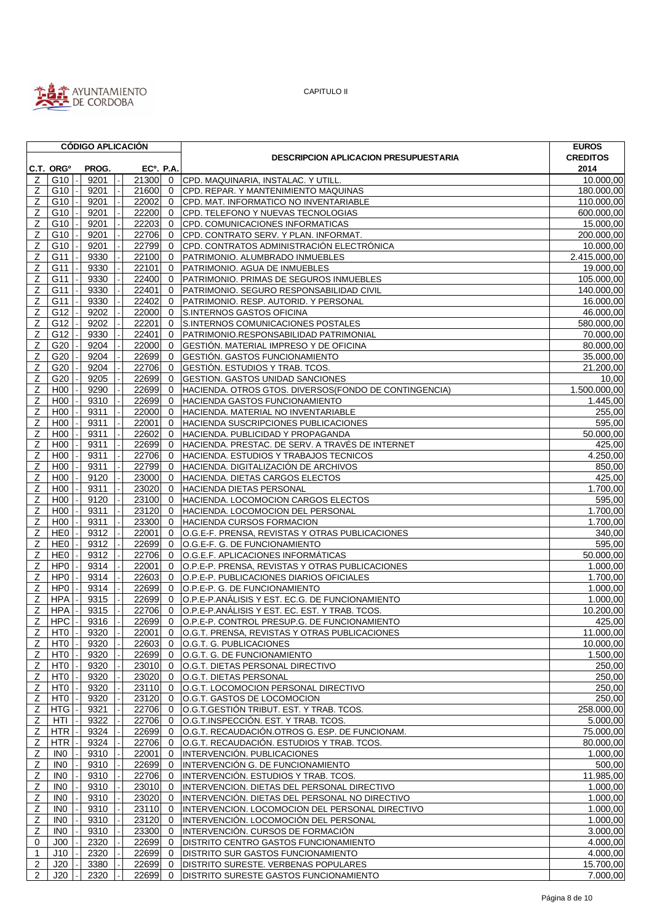

|                |                       |  | <b>CÓDIGO APLICACIÓN</b> |                          |                  |                                              |                                                        | <b>EUROS</b>            |
|----------------|-----------------------|--|--------------------------|--------------------------|------------------|----------------------------------------------|--------------------------------------------------------|-------------------------|
|                |                       |  |                          |                          |                  | <b>DESCRIPCION APLICACION PRESUPUESTARIA</b> | <b>CREDITOS</b>                                        |                         |
|                | C.T. ORG <sup>o</sup> |  | PROG.                    |                          | <b>ECº. P.A.</b> |                                              |                                                        | 2014                    |
| z              | G10                   |  | 9201                     |                          |                  |                                              | 21300 0 CPD. MAQUINARIA, INSTALAC. Y UTILL.            | 10.000,00               |
| Ζ              | G10                   |  | 9201                     | $\overline{\phantom{a}}$ | 21600            | $\mathbf 0$                                  | CPD. REPAR. Y MANTENIMIENTO MAQUINAS                   | 180.000,00              |
| Ζ              | G10                   |  | 9201                     |                          | 22002            | $\mathbf{0}$                                 | CPD. MAT. INFORMATICO NO INVENTARIABLE                 | 110.000,00              |
| Ζ              | G10                   |  | 9201                     |                          | 22200            | $\mathbf{0}$                                 | CPD. TELEFONO Y NUEVAS TECNOLOGIAS                     | 600.000,00              |
| Z              | G10                   |  | 9201                     |                          | 22203            | $\mathbf 0$                                  | CPD. COMUNICACIONES INFORMATICAS                       | 15.000,00               |
| Ζ              | G10                   |  | 9201                     |                          | 22706            | $\mathbf{0}$                                 | CPD. CONTRATO SERV. Y PLAN. INFORMAT.                  | 200.000,00              |
| Z              | G10                   |  | 9201                     |                          | 22799            | $\mathbf{0}$                                 | CPD. CONTRATOS ADMINISTRACIÓN ELECTRÓNICA              | 10.000,00               |
| z              | G11                   |  | 9330                     |                          | 22100            | $\mathbf 0$                                  | PATRIMONIO. ALUMBRADO INMUEBLES                        | 2.415.000,00            |
| Ζ              | G11                   |  | 9330                     |                          | 22101            | $\mathbf{0}$                                 | PATRIMONIO. AGUA DE INMUEBLES                          | 19.000,00               |
| Ζ              | G11                   |  | 9330                     |                          | 22400            | $\mathbf{0}$                                 | PATRIMONIO. PRIMAS DE SEGUROS INMUEBLES                | 105.000,00              |
| Ζ              | G11                   |  | 9330                     |                          | 22401            | $\mathbf{0}$                                 | PATRIMONIO. SEGURO RESPONSABILIDAD CIVIL               | 140.000,00              |
| $\mathsf Z$    | G11                   |  | 9330                     |                          | 22402            | $\mathbf{0}$                                 | PATRIMONIO. RESP. AUTORID. Y PERSONAL                  | 16.000,00               |
| Z              | G12                   |  | 9202                     |                          | 22000            | $\mathbf{0}$                                 | S.INTERNOS GASTOS OFICINA                              | 46.000,00               |
| Z              | G12                   |  | 9202                     |                          | 22201            | $\mathbf{0}$                                 | S.INTERNOS COMUNICACIONES POSTALES                     | 580.000,00              |
| Ζ              | G12                   |  | 9330                     |                          | 22401            | $\mathbf{0}$                                 | PATRIMONIO.RESPONSABILIDAD PATRIMONIAL                 | 70.000,00               |
| z              | G20                   |  | 9204                     |                          | 22000            | $\mathbf 0$                                  | GESTIÓN. MATERIAL IMPRESO Y DE OFICINA                 | 80.000,00               |
| Ζ              | G20                   |  | 9204                     |                          | 22699            | $\mathbf{0}$                                 | GESTIÓN. GASTOS FUNCIONAMIENTO                         | $\overline{35.000,00}$  |
| Ζ              | G20                   |  | 9204                     |                          | 22706            | $\mathbf 0$                                  | GESTIÓN. ESTUDIOS Y TRAB. TCOS.                        | $\overline{21}$ .200,00 |
| z              | G20                   |  | 9205                     |                          | 22699            | $\mathbf{0}$                                 | <b>GESTION. GASTOS UNIDAD SANCIONES</b>                | 10,00                   |
| Ζ              | H <sub>00</sub>       |  | 9290                     |                          | 22699            | $\mathbf{0}$                                 | HACIENDA. OTROS GTOS. DIVERSOS (FONDO DE CONTINGENCIA) | 1.500.000,00            |
| Z              | H <sub>00</sub>       |  | 9310                     |                          | 22699            | $\mathbf{0}$                                 | HACIENDA GASTOS FUNCIONAMIENTO                         | 1.445,00                |
| z              | H <sub>0</sub>        |  | 9311                     |                          | 22000            | $\mathbf{0}$                                 | HACIENDA. MATERIAL NO INVENTARIABLE                    | 255,00                  |
| Ζ              | H <sub>00</sub>       |  | 9311                     |                          | 22001            | $\mathbf{0}$                                 | <b>HACIENDA SUSCRIPCIONES PUBLICACIONES</b>            | 595,00                  |
| Z              | H <sub>00</sub>       |  | 9311                     |                          | 22602            | $\mathbf{0}$                                 | HACIENDA. PUBLICIDAD Y PROPAGANDA                      | 50.000,00               |
| Z              | H <sub>00</sub>       |  | 9311                     |                          | 22699            | $\mathbf{0}$                                 | HACIENDA. PRESTAC. DE SERV. A TRAVÉS DE INTERNET       | 425,00                  |
| Ζ              | H <sub>00</sub>       |  | 9311                     |                          | 22706            | $\mathbf 0$                                  | HACIENDA. ESTUDIOS Y TRABAJOS TECNICOS                 | 4.250,00                |
| Z              | H <sub>00</sub>       |  | 9311                     |                          | 22799            | $\mathbf{0}$                                 | HACIENDA. DIGITALIZACIÓN DE ARCHIVOS                   | 850,00                  |
| Ζ              | H <sub>00</sub>       |  | 9120                     |                          | 23000            | $\mathbf{0}$                                 | HACIENDA. DIETAS CARGOS ELECTOS                        | 425,00                  |
| Z              | H <sub>00</sub>       |  | 9311                     |                          | 23020            | $\mathbf{0}$                                 | HACIENDA DIETAS PERSONAL                               | 1.700,00                |
| Z              | H <sub>00</sub>       |  | 9120                     |                          | 23100            | $\mathbf 0$                                  | HACIENDA. LOCOMOCION CARGOS ELECTOS                    | 595,00                  |
|                | H <sub>00</sub>       |  | 9311                     |                          | 23120            |                                              |                                                        | 1.700,00                |
| Ζ              |                       |  |                          |                          |                  | $\mathbf{0}$                                 | HACIENDA. LOCOMOCION DEL PERSONAL                      |                         |
| Ζ              | H <sub>00</sub>       |  | 9311                     |                          | 23300            | $\mathbf{0}$                                 | HACIENDA CURSOS FORMACION                              | 1.700,00                |
| Ζ              | HE <sub>0</sub>       |  | 9312                     |                          | 22001            | $\mathbf{0}$                                 | O.G.E-F. PRENSA, REVISTAS Y OTRAS PUBLICACIONES        | 340,00                  |
| Ζ              | HE <sub>0</sub>       |  | 9312                     |                          | 22699            | $\mathbf{0}$                                 | O.G.E-F. G. DE FUNCIONAMIENTO                          | 595,00                  |
| z              | HE0                   |  | 9312                     |                          | 22706            | $\mathbf{0}$                                 | O.G.E.F. APLICACIONES INFORMÁTICAS                     | 50.000,00               |
| z              | HP0                   |  | 9314                     |                          | 22001            | $\mathbf{0}$                                 | O.P.E-P. PRENSA, REVISTAS Y OTRAS PUBLICACIONES        | 1.000,00                |
| $\mathsf Z$    | HP <sub>0</sub>       |  | 9314                     |                          | 22603            | $\mathbf{0}$                                 | O.P.E-P. PUBLICACIONES DIARIOS OFICIALES               | 1.700,00                |
| Ζ              | HP0                   |  | 9314                     |                          | 22699            | $\mathbf 0$                                  | O.P.E-P. G. DE FUNCIONAMIENTO                          | 1.000,00                |
| Z              | <b>HPA</b>            |  | 9315                     |                          | 22699            |                                              | 0 O.P.E-P.ANÁLISIS Y EST. EC.G. DE FUNCIONAMIENTO      | 1.000,00                |
| Z              | <b>HPA</b>            |  | 9315                     |                          | 22706            | $\Omega$                                     | O.P.E-P.ANÁLISIS Y EST. EC. EST. Y TRAB. TCOS.         | 10.200,00               |
| Z              | <b>HPC</b>            |  | 9316                     |                          | 22699            | $\mathbf 0$                                  | O.P.E-P. CONTROL PRESUP.G. DE FUNCIONAMIENTO           | 425,00                  |
|                | $Z$ HT0 $\vert$ -     |  | $9320$ -                 |                          |                  |                                              | 22001 0 O.G.T. PRENSA, REVISTAS Y OTRAS PUBLICACIONES  | 11.000,00               |
| Z              | HT0                   |  | 9320                     |                          | 22603 0          |                                              | O.G.T. G. PUBLICACIONES                                | 10.000,00               |
| Z              | HTO                   |  | 9320                     |                          | 22699            | $\mathbf 0$                                  | O.G.T. G. DE FUNCIONAMIENTO                            | 1.500,00                |
| Ζ              | HT0                   |  | 9320                     |                          | 23010            | $\mathbf 0$                                  | O.G.T. DIETAS PERSONAL DIRECTIVO                       | 250,00                  |
| $\mathsf Z$    | HT0                   |  | 9320                     |                          | 23020            | $\mathbf{0}$                                 | O.G.T. DIETAS PERSONAL                                 | 250,00                  |
| Z              | HT0                   |  | 9320                     |                          | 23110            | $\mathbf{0}$                                 | O.G.T. LOCOMOCION PERSONAL DIRECTIVO                   | 250,00                  |
| $\mathsf Z$    | HT0                   |  | 9320                     |                          | 23120            | $\mathbf 0$                                  | O.G.T. GASTOS DE LOCOMOCION                            | 250,00                  |
| $\mathsf Z$    | HTG                   |  | 9321                     |                          | 22706            | $\mathbf{0}$                                 | O.G.T. GESTIÓN TRIBUT. EST. Y TRAB. TCOS.              | 258.000,00              |
| z              | HTI                   |  | 9322                     |                          | 22706            | $\mathbf{0}$                                 | O.G.T.INSPECCIÓN. EST. Y TRAB. TCOS.                   | 5.000,00                |
| $\mathsf{Z}$   | <b>HTR</b>            |  | 9324                     |                          | 22699            | $\mathbf{0}$                                 | O.G.T. RECAUDACIÓN.OTROS G. ESP. DE FUNCIONAM.         | 75.000,00               |
| z              | <b>HTR</b>            |  | 9324                     |                          | 22706            | $\mathbf 0$                                  | O.G.T. RECAUDACIÓN. ESTUDIOS Y TRAB. TCOS.             | 80.000,00               |
| Ζ              | IN <sub>0</sub>       |  | 9310                     |                          | 22001            | $\mathbf{0}$                                 | INTERVENCIÓN. PUBLICACIONES                            | 1.000,00                |
| $\mathsf Z$    | IN <sub>0</sub>       |  | 9310                     |                          | 22699            | $\mathbf{0}$                                 | INTERVENCIÓN G. DE FUNCIONAMIENTO                      | 500,00                  |
| $\mathsf Z$    | IN <sub>0</sub>       |  | 9310                     |                          | 22706            | $\mathbf 0$                                  | INTERVENCIÓN. ESTUDIOS Y TRAB. TCOS.                   | 11.985,00               |
| Ζ              | IN <sub>0</sub>       |  | 9310                     |                          | 23010            | $\mathbf{0}$                                 | INTERVENCION. DIETAS DEL PERSONAL DIRECTIVO            | 1.000,00                |
| $\mathsf Z$    | IN <sub>0</sub>       |  | 9310                     |                          | 23020            | $\mathbf{0}$                                 | INTERVENCIÓN. DIETAS DEL PERSONAL NO DIRECTIVO         | 1.000,00                |
| $\overline{z}$ | IN <sub>0</sub>       |  | 9310                     |                          | 23110            | $\mathbf 0$                                  | INTERVENCION. LOCOMOCION DEL PERSONAL DIRECTIVO        | 1.000,00                |
| $\mathsf{Z}$   | IN <sub>0</sub>       |  | 9310                     |                          | 23120            | $\mathbf 0$                                  | INTERVENCIÓN. LOCOMOCIÓN DEL PERSONAL                  | 1.000,00                |
| Ζ              | IN <sub>0</sub>       |  | 9310                     |                          | 23300            | $\mathbf 0$                                  | INTERVENCIÓN. CURSOS DE FORMACIÓN                      | 3.000,00                |
| 0              | J00                   |  | 2320                     |                          | 22699            | $\mathbf 0$                                  | <b>DISTRITO CENTRO GASTOS FUNCIONAMIENTO</b>           | 4.000,00                |
| $\mathbf{1}$   | J10                   |  | 2320                     |                          | 22699            | $\mathbf{0}$                                 | DISTRITO SUR GASTOS FUNCIONAMIENTO                     | 4.000,00                |
| $\overline{2}$ | J20                   |  | 3380                     |                          | 22699            | $\mathbf{0}$                                 | DISTRITO SURESTE. VERBENAS POPULARES                   | 15.700,00               |
| $\overline{2}$ | J20                   |  | 2320                     |                          | 22699            |                                              | 0   DISTRITO SURESTE GASTOS FUNCIONAMIENTO             | 7.000,00                |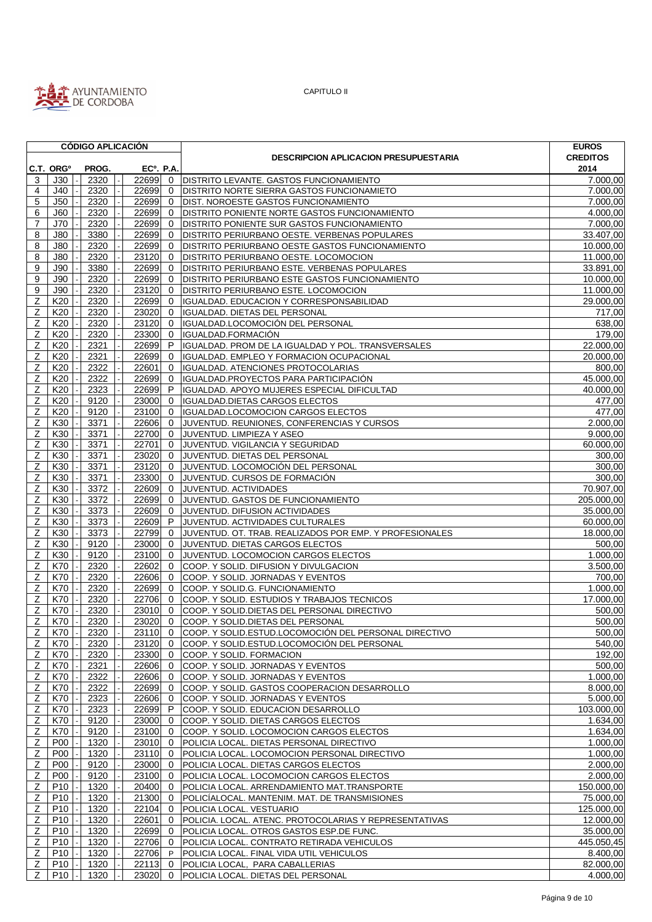

|                  |                       | <b>CÓDIGO APLICACIÓN</b> |                        |              |                                                         | <b>EUROS</b>          |
|------------------|-----------------------|--------------------------|------------------------|--------------|---------------------------------------------------------|-----------------------|
|                  |                       |                          |                        |              | <b>DESCRIPCION APLICACION PRESUPUESTARIA</b>            | <b>CREDITOS</b>       |
|                  | C.T. ORG <sup>o</sup> | PROG.                    | EC <sup>o</sup> . P.A. |              |                                                         | 2014                  |
| 3                | J30                   | 2320                     | 22699                  | $\mathbf 0$  | DISTRITO LEVANTE. GASTOS FUNCIONAMIENTO                 | 7.000.00              |
| 4                | J40                   | 2320                     | 22699                  | $\mathbf{0}$ | DISTRITO NORTE SIERRA GASTOS FUNCIONAMIETO              | 7.000,00              |
| 5                | J50                   | 2320                     | 22699                  | $\mathbf{0}$ | DIST. NOROESTE GASTOS FUNCIONAMIENTO                    | 7.000,00              |
| 6                | J60                   | 2320                     | 22699                  | $\mathbf 0$  | <b>DISTRITO PONIENTE NORTE GASTOS FUNCIONAMIENTO</b>    | 4.000,00              |
| $\overline{7}$   | J70                   | 2320                     | 22699                  | $\mathbf 0$  | DISTRITO PONIENTE SUR GASTOS FUNCIONAMIENTO             | 7.000,00              |
| 8                | <b>J80</b>            | 3380                     | 22699                  | $\mathbf 0$  | DISTRITO PERIURBANO OESTE. VERBENAS POPULARES           | 33.407,00             |
| 8                | J80                   | 2320                     | 22699                  | $\mathbf 0$  | DISTRITO PERIURBANO OESTE GASTOS FUNCIONAMIENTO         | 10.000,00             |
| 8                | J80                   | 2320                     | 23120                  | $\mathbf 0$  | DISTRITO PERIURBANO OESTE. LOCOMOCION                   | 11.000,00             |
| 9                | J90                   | 3380                     | 22699                  | $\mathbf 0$  | DISTRITO PERIURBANO ESTE. VERBENAS POPULARES            | 33.891,00             |
| 9                | J90                   | 2320                     | 22699                  | $\mathbf 0$  | DISTRITO PERIURBANO ESTE GASTOS FUNCIONAMIENTO          | 10.000,00             |
| $\boldsymbol{9}$ | J90                   | 2320                     | 23120                  | $\mathbf 0$  | <b>DISTRITO PERIURBANO ESTE. LOCOMOCION</b>             | 11.000,00             |
| Z                | K20                   | 2320                     | 22699                  | $\mathbf 0$  | IGUALDAD. EDUCACION Y CORRESPONSABILIDAD                | 29.000,00             |
| Ζ                | K20                   | 2320                     | 23020                  | $\mathbf{0}$ | IGUALDAD. DIETAS DEL PERSONAL                           | 717,00                |
| Ζ                | K20                   | 2320                     | 23120                  | $\mathbf{0}$ | IGUALDAD.LOCOMOCIÓN DEL PERSONAL                        | 638,00                |
|                  | K20                   | 2320                     | 23300                  | $\mathbf 0$  | IGUALDAD.FORMACIÓN                                      | 179,00                |
| Z                |                       |                          |                        | P            |                                                         |                       |
| Ζ                | K20                   | 2321                     | 22699                  |              | IGUALDAD. PROM DE LA IGUALDAD Y POL. TRANSVERSALES      | 22.000,00             |
| Z                | K20                   | 2321                     | 22699                  | $\mathbf 0$  | IGUALDAD. EMPLEO Y FORMACION OCUPACIONAL                | 20.000,00             |
| Z                | K20                   | 2322                     | 22601                  | $\mathbf 0$  | IGUALDAD. ATENCIONES PROTOCOLARIAS                      | 800,00                |
| Ζ                | K20                   | 2322                     | 22699                  | $\mathbf 0$  | IGUALDAD.PROYECTOS PARA PARTICIPACIÓN                   | 45.000,00             |
| Ζ                | K20                   | 2323                     | 22699                  | P            | IGUALDAD. APOYO MUJERES ESPECIAL DIFICULTAD             | 40.000,00             |
| Z                | K20                   | 9120                     | 23000                  | $\mathbf 0$  | <b>IGUALDAD.DIETAS CARGOS ELECTOS</b>                   | 477,00                |
| Ζ                | K20                   | 9120                     | 23100                  | $\mathbf 0$  | IGUALDAD.LOCOMOCION CARGOS ELECTOS                      | 477,00                |
| Z                | K30                   | 3371                     | 22606                  | $\mathbf 0$  | JUVENTUD. REUNIONES, CONFERENCIAS Y CURSOS              | 2.000,00              |
| Z                | K30                   | 3371                     | 22700                  | $\mathbf{0}$ | JUVENTUD. LIMPIEZA Y ASEO                               | $\overline{9.000,00}$ |
| $\overline{z}$   | K30                   | 3371                     | 22701                  | $\mathbf 0$  | JUVENTUD. VIGILANCIA Y SEGURIDAD                        | 60.000,00             |
| Z                | K30                   | 3371                     | 23020                  | $\mathbf 0$  | JUVENTUD. DIETAS DEL PERSONAL                           | 300,00                |
| Z                | K30                   | 3371                     | 23120                  | $\mathbf 0$  | JUVENTUD. LOCOMOCIÓN DEL PERSONAL                       | 300,00                |
| Z                | K30                   | 3371                     | 23300                  | $\mathbf 0$  | JUVENTUD. CURSOS DE FORMACIÓN                           | 300,00                |
| Ζ                | K30                   | 3372                     | 22609                  | $\mathbf 0$  | JUVENTUD. ACTIVIDADES                                   | 70.907,00             |
| Z                | K30                   | 3372                     | 22699                  | $\mathbf 0$  | JUVENTUD. GASTOS DE FUNCIONAMIENTO                      | 205.000,00            |
| Ζ                | K30                   | 3373                     | 22609                  | $\mathbf 0$  | JUVENTUD. DIFUSION ACTIVIDADES                          | 35.000,00             |
| Z                | K30                   | 3373                     | 22609                  | P            | JUVENTUD. ACTIVIDADES CULTURALES                        | 60.000,00             |
| Ζ                | K30                   | 3373                     | 22799                  | $\mathbf{0}$ | JUVENTUD. OT. TRAB. REALIZADOS POR EMP. Y PROFESIONALES | 18.000,00             |
| Z                | K30                   | 9120                     | 23000                  | $\mathbf 0$  | JUVENTUD. DIETAS CARGOS ELECTOS                         | 500,00                |
| Z                | K30                   | 9120                     | 23100                  | $\mathbf 0$  | JUVENTUD. LOCOMOCION CARGOS ELECTOS                     | 1.000,00              |
| Z                | K70                   | 2320                     | 22602                  | $\mathbf 0$  | COOP. Y SOLID. DIFUSION Y DIVULGACION                   | 3.500,00              |
| Z                | K70                   | 2320                     | 22606                  | $\mathbf 0$  | COOP. Y SOLID. JORNADAS Y EVENTOS                       | 700,00                |
| Ζ                | K70                   | 2320                     | 22699                  | $\mathbf 0$  | COOP. Y SOLID.G. FUNCIONAMIENTO                         | 1.000,00              |
| Ζ                | K70                   | 2320                     | 22706                  | $\mathbf 0$  | COOP. Y SOLID. ESTUDIOS Y TRABAJOS TECNICOS             | 17.000,00             |
| Z                | K70                   | 2320                     | 23010                  | $\mathbf 0$  | COOP. Y SOLID. DIETAS DEL PERSONAL DIRECTIVO            | 500,00                |
| Ζ                | K70                   | 2320                     | 23020                  | $\Omega$     | COOP. Y SOLID. DIETAS DEL PERSONAL                      | 500,00                |
| $\overline{Z}$   | K70                   | 2320                     | 23110                  | $\mathbf 0$  | COOP. Y SOLID.ESTUD.LOCOMOCIÓN DEL PERSONAL DIRECTIVO   | 500,00                |
| Z                | K70                   | 2320                     | 23120 0                |              | COOP. Y SOLID.ESTUD.LOCOMOCIÓN DEL PERSONAL             | 540,00                |
| Z                | K70                   | 2320                     | 23300                  | $\mathbf 0$  | COOP. Y SOLID. FORMACION                                | 192,00                |
| Ζ                | K70                   | 2321                     | 22606                  | $\mathbf 0$  | COOP. Y SOLID. JORNADAS Y EVENTOS                       | 500,00                |
| $\mathsf{Z}$     | K70                   | 2322                     | 22606                  | $\mathbf 0$  | COOP. Y SOLID. JORNADAS Y EVENTOS                       | 1.000,00              |
| Ζ                | K70                   | 2322                     | 22699                  | $\mathbf 0$  | COOP. Y SOLID. GASTOS COOPERACION DESARROLLO            | 8.000,00              |
| Z                | K70                   | 2323                     | 22606                  | 0            | COOP. Y SOLID. JORNADAS Y EVENTOS                       | 5.000,00              |
| z                | K70                   | 2323                     | 22699                  | P            | COOP. Y SOLID. EDUCACION DESARROLLO                     | 103.000,00            |
| $\overline{z}$   | K70                   | 9120                     | 23000                  | $\mathbf{0}$ | COOP. Y SOLID. DIETAS CARGOS ELECTOS                    | 1.634,00              |
| Ζ                | K70                   | 9120                     | 23100                  | $\mathbf 0$  | COOP. Y SOLID. LOCOMOCION CARGOS ELECTOS                | 1.634,00              |
| $\mathsf Z$      | <b>P00</b>            | 1320                     | 23010                  | $\mathbf 0$  | POLICIA LOCAL. DIETAS PERSONAL DIRECTIVO                | 1.000,00              |
| Ζ                | <b>P00</b>            | 1320                     | 23110                  | $\mathbf 0$  | POLICIA LOCAL. LOCOMOCION PERSONAL DIRECTIVO            | 1.000,00              |
| Z                | <b>P00</b>            | 9120                     | 23000                  | 0            | POLICIA LOCAL. DIETAS CARGOS ELECTOS                    | 2.000,00              |
| Ζ                | <b>P00</b>            | 9120                     | 23100                  | $\mathbf 0$  | POLICIA LOCAL. LOCOMOCION CARGOS ELECTOS                | 2.000,00              |
| $\mathsf Z$      | P <sub>10</sub>       | 1320                     | 20400                  | $\mathbf{0}$ | POLICIA LOCAL. ARRENDAMIENTO MAT. TRANSPORTE            | 150.000,00            |
| Ζ                | P <sub>10</sub>       | 1320                     | 21300                  | $\mathbf{0}$ | POLICÍALOCAL. MANTENIM. MAT. DE TRANSMISIONES           | 75.000,00             |
| z                | P10                   | 1320                     | 22104                  | $\mathbf 0$  | POLICIA LOCAL. VESTUARIO                                | 125.000,00            |
| $\mathsf Z$      | P <sub>10</sub>       | 1320                     | 22601                  | $\mathbf 0$  | POLICIA. LOCAL. ATENC. PROTOCOLARIAS Y REPRESENTATIVAS  | 12.000,00             |
| z                | P10                   | 1320                     | 22699                  | $\mathbf{0}$ | POLICIA LOCAL. OTROS GASTOS ESP.DE FUNC.                | 35.000,00             |
| Z                | P10                   | 1320                     | 22706                  | $\mathbf 0$  | POLICIA LOCAL. CONTRATO RETIRADA VEHICULOS              | 445.050,45            |
| $\mathsf Z$      | P <sub>10</sub>       | 1320                     | 22706 P                |              | POLICIA LOCAL. FINAL VIDA UTIL VEHICULOS                | 8.400,00              |
| $\mathsf Z$      | P10                   | 1320                     | 22113                  | $\mathbf{0}$ | POLICIA LOCAL, PARA CABALLERIAS                         | 82.000,00             |
| Z                | P10                   | 1320                     | $23020$ 0              |              | POLICIA LOCAL. DIETAS DEL PERSONAL                      | 4.000,00              |
|                  |                       |                          |                        |              |                                                         |                       |